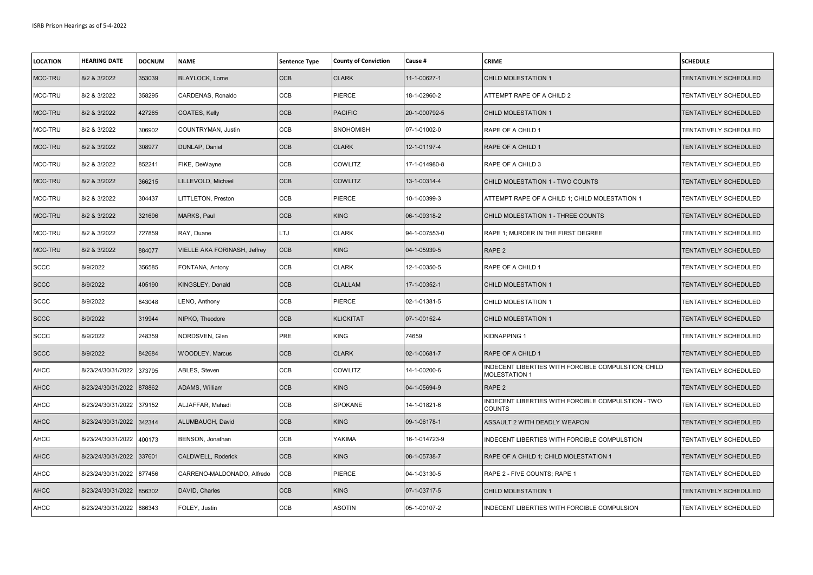| <b>LOCATION</b> | <b>HEARING DATE</b> | <b>DOCNUM</b> | <b>NAME</b>                  | Sentence Type | <b>County of Conviction</b> | Cause #       | <b>CRIME</b>                                                                | <b>SCHEDULE</b>       |
|-----------------|---------------------|---------------|------------------------------|---------------|-----------------------------|---------------|-----------------------------------------------------------------------------|-----------------------|
| MCC-TRU         | 8/2 & 3/2022        | 353039        | <b>BLAYLOCK, Lorne</b>       | <b>CCB</b>    | <b>CLARK</b>                | 11-1-00627-1  | CHILD MOLESTATION 1                                                         | TENTATIVELY SCHEDULED |
| MCC-TRU         | 8/2 & 3/2022        | 358295        | CARDENAS, Ronaldo            | CCB           | PIERCE                      | 18-1-02960-2  | ATTEMPT RAPE OF A CHILD 2                                                   | TENTATIVELY SCHEDULED |
| MCC-TRU         | 8/2 & 3/2022        | 427265        | COATES, Kelly                | <b>CCB</b>    | <b>PACIFIC</b>              | 20-1-000792-5 | CHILD MOLESTATION 1                                                         | TENTATIVELY SCHEDULED |
| MCC-TRU         | 8/2 & 3/2022        | 306902        | COUNTRYMAN, Justin           | CCB           | <b>SNOHOMISH</b>            | 07-1-01002-0  | RAPE OF A CHILD 1                                                           | TENTATIVELY SCHEDULED |
| MCC-TRU         | 8/2 & 3/2022        | 308977        | DUNLAP, Daniel               | CCB           | <b>CLARK</b>                | 12-1-01197-4  | RAPE OF A CHILD 1                                                           | TENTATIVELY SCHEDULED |
| MCC-TRU         | 8/2 & 3/2022        | 852241        | FIKE, DeWayne                | <b>CCB</b>    | <b>COWLITZ</b>              | 17-1-014980-8 | RAPE OF A CHILD 3                                                           | TENTATIVELY SCHEDULED |
| MCC-TRU         | 8/2 & 3/2022        | 366215        | LILLEVOLD, Michael           | <b>CCB</b>    | <b>COWLITZ</b>              | 13-1-00314-4  | CHILD MOLESTATION 1 - TWO COUNTS                                            | TENTATIVELY SCHEDULED |
| MCC-TRU         | 8/2 & 3/2022        | 304437        | LITTLETON, Preston           | CCB           | PIERCE                      | 10-1-00399-3  | ATTEMPT RAPE OF A CHILD 1; CHILD MOLESTATION 1                              | TENTATIVELY SCHEDULED |
| MCC-TRU         | 8/2 & 3/2022        | 321696        | MARKS, Paul                  | CCB           | <b>KING</b>                 | 06-1-09318-2  | CHILD MOLESTATION 1 - THREE COUNTS                                          | TENTATIVELY SCHEDULED |
| MCC-TRU         | 8/2 & 3/2022        | 727859        | RAY, Duane                   | LTJ           | <b>CLARK</b>                | 94-1-007553-0 | RAPE 1; MURDER IN THE FIRST DEGREE                                          | TENTATIVELY SCHEDULED |
| MCC-TRU         | 8/2 & 3/2022        | 884077        | VIELLE AKA FORINASH, Jeffrey | CCB           | <b>KING</b>                 | 04-1-05939-5  | RAPE 2                                                                      | TENTATIVELY SCHEDULED |
| <b>SCCC</b>     | 8/9/2022            | 356585        | FONTANA, Antony              | <b>CCB</b>    | <b>CLARK</b>                | 12-1-00350-5  | RAPE OF A CHILD 1                                                           | TENTATIVELY SCHEDULED |
| <b>SCCC</b>     | 8/9/2022            | 405190        | KINGSLEY, Donald             | CCB           | <b>CLALLAM</b>              | 17-1-00352-1  | CHILD MOLESTATION 1                                                         | TENTATIVELY SCHEDULED |
| <b>SCCC</b>     | 8/9/2022            | 843048        | LENO, Anthony                | <b>CCB</b>    | PIERCE                      | 02-1-01381-5  | CHILD MOLESTATION 1                                                         | TENTATIVELY SCHEDULED |
| <b>SCCC</b>     | 8/9/2022            | 319944        | NIPKO, Theodore              | <b>CCB</b>    | <b>KLICKITAT</b>            | 07-1-00152-4  | CHILD MOLESTATION 1                                                         | TENTATIVELY SCHEDULED |
| <b>SCCC</b>     | 8/9/2022            | 248359        | NORDSVEN, Glen               | PRE           | KING                        | 74659         | KIDNAPPING 1                                                                | TENTATIVELY SCHEDULED |
| <b>SCCC</b>     | 8/9/2022            | 842684        | <b>WOODLEY, Marcus</b>       | CCB           | <b>CLARK</b>                | 02-1-00681-7  | RAPE OF A CHILD 1                                                           | TENTATIVELY SCHEDULED |
| <b>AHCC</b>     | 8/23/24/30/31/2022  | 373795        | ABLES, Steven                | CCB           | COWLITZ                     | 14-1-00200-6  | INDECENT LIBERTIES WITH FORCIBLE COMPULSTION; CHILD<br><b>MOLESTATION 1</b> | TENTATIVELY SCHEDULED |
| <b>AHCC</b>     | 8/23/24/30/31/2022  | 878862        | ADAMS, William               | CCB           | <b>KING</b>                 | 04-1-05694-9  | RAPE 2                                                                      | TENTATIVELY SCHEDULED |
| <b>AHCC</b>     | 8/23/24/30/31/2022  | 379152        | ALJAFFAR, Mahadi             | <b>CCB</b>    | SPOKANE                     | 14-1-01821-6  | INDECENT LIBERTIES WITH FORCIBLE COMPULSTION - TWO<br>COUNTS                | TENTATIVELY SCHEDULED |
| <b>AHCC</b>     | 8/23/24/30/31/2022  | 342344        | ALUMBAUGH, David             | CCB           | <b>KING</b>                 | 09-1-06178-1  | ASSAULT 2 WITH DEADLY WEAPON                                                | TENTATIVELY SCHEDULED |
| <b>AHCC</b>     | 8/23/24/30/31/2022  | 400173        | BENSON, Jonathan             | <b>CCB</b>    | YAKIMA                      | 16-1-014723-9 | INDECENT LIBERTIES WITH FORCIBLE COMPULSTION                                | TENTATIVELY SCHEDULED |
| <b>AHCC</b>     | 8/23/24/30/31/2022  | 337601        | CALDWELL, Roderick           | <b>CCB</b>    | <b>KING</b>                 | 08-1-05738-7  | RAPE OF A CHILD 1; CHILD MOLESTATION 1                                      | TENTATIVELY SCHEDULED |
| <b>AHCC</b>     | 8/23/24/30/31/2022  | 877456        | CARRENO-MALDONADO, Alfredo   | CCB           | PIERCE                      | 04-1-03130-5  | RAPE 2 - FIVE COUNTS; RAPE 1                                                | TENTATIVELY SCHEDULED |
| <b>AHCC</b>     | 8/23/24/30/31/2022  | 856302        | DAVID, Charles               | CCB           | <b>KING</b>                 | 07-1-03717-5  | CHILD MOLESTATION 1                                                         | TENTATIVELY SCHEDULED |
| <b>AHCC</b>     | 8/23/24/30/31/2022  | 886343        | FOLEY, Justin                | CCB           | ASOTIN                      | 05-1-00107-2  | INDECENT LIBERTIES WITH FORCIBLE COMPULSION                                 | TENTATIVELY SCHEDULED |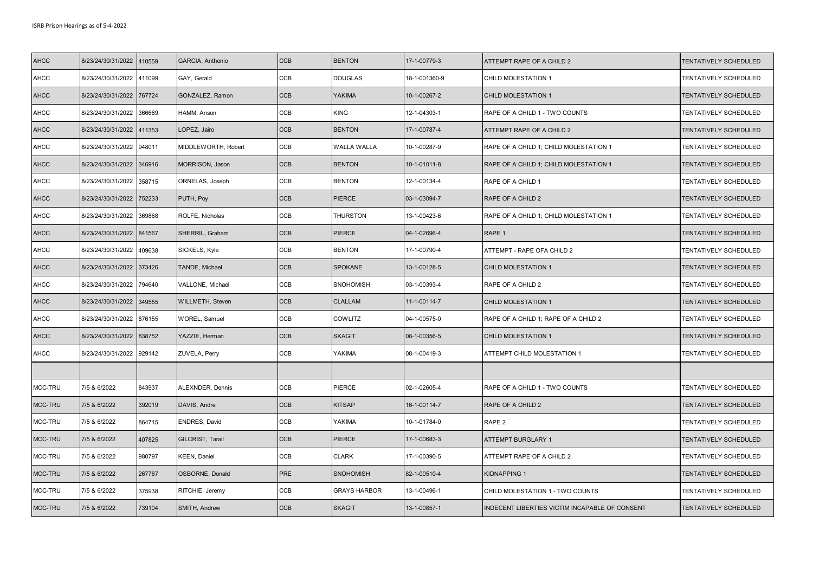| <b>AHCC</b> | 8/23/24/30/31/2022 | 410559 | GARCIA, Anthonio     | <b>CCB</b> | <b>BENTON</b>       | 17-1-00779-3  | ATTEMPT RAPE OF A CHILD 2                      | TENTATIVELY SCHEDULED |
|-------------|--------------------|--------|----------------------|------------|---------------------|---------------|------------------------------------------------|-----------------------|
| <b>AHCC</b> | 8/23/24/30/31/2022 | 411099 | GAY, Gerald          | CCB        | <b>DOUGLAS</b>      | 18-1-001360-9 | CHILD MOLESTATION 1                            | TENTATIVELY SCHEDULED |
| <b>AHCC</b> | 8/23/24/30/31/2022 | 767724 | GONZALEZ, Ramon      | <b>CCB</b> | <b>YAKIMA</b>       | 10-1-00267-2  | CHILD MOLESTATION 1                            | TENTATIVELY SCHEDULED |
| <b>AHCC</b> | 8/23/24/30/31/2022 | 366669 | HAMM, Anson          | CCB        | <b>KING</b>         | 12-1-04303-1  | RAPE OF A CHILD 1 - TWO COUNTS                 | TENTATIVELY SCHEDULED |
| <b>AHCC</b> | 8/23/24/30/31/2022 | 411353 | LOPEZ, Jairo         | <b>CCB</b> | <b>BENTON</b>       | 17-1-00787-4  | ATTEMPT RAPE OF A CHILD 2                      | TENTATIVELY SCHEDULED |
| <b>AHCC</b> | 8/23/24/30/31/2022 | 948011 | MIDDLEWORTH, Robert  | <b>CCB</b> | <b>WALLA WALLA</b>  | 10-1-00287-9  | RAPE OF A CHILD 1; CHILD MOLESTATION 1         | TENTATIVELY SCHEDULED |
| <b>AHCC</b> | 8/23/24/30/31/2022 | 346916 | MORRISON, Jason      | <b>CCB</b> | <b>BENTON</b>       | 10-1-01011-8  | RAPE OF A CHILD 1; CHILD MOLESTATION 1         | TENTATIVELY SCHEDULED |
| <b>AHCC</b> | 8/23/24/30/31/2022 | 358715 | ORNELAS, Joseph      | CCB        | <b>BENTON</b>       | 12-1-00134-4  | RAPE OF A CHILD 1                              | TENTATIVELY SCHEDULED |
| <b>AHCC</b> | 8/23/24/30/31/2022 | 752233 | PUTH, Poy            | CCB        | PIERCE              | 03-1-03094-7  | RAPE OF A CHILD 2                              | TENTATIVELY SCHEDULED |
| <b>AHCC</b> | 8/23/24/30/31/2022 | 369868 | ROLFE, Nicholas      | CCB        | <b>THURSTON</b>     | 13-1-00423-6  | RAPE OF A CHILD 1; CHILD MOLESTATION 1         | TENTATIVELY SCHEDULED |
| <b>AHCC</b> | 8/23/24/30/31/2022 | 841567 | SHERRIL, Graham      | CCB        | PIERCE              | 04-1-02696-4  | RAPE 1                                         | TENTATIVELY SCHEDULED |
| <b>AHCC</b> | 8/23/24/30/31/2022 | 409638 | SICKELS, Kyle        | CCB        | <b>BENTON</b>       | 17-1-00790-4  | ATTEMPT - RAPE OFA CHILD 2                     | TENTATIVELY SCHEDULED |
| <b>AHCC</b> | 8/23/24/30/31/2022 | 373426 | TANDE, Michael       | <b>CCB</b> | <b>SPOKANE</b>      | 13-1-00128-5  | CHILD MOLESTATION 1                            | TENTATIVELY SCHEDULED |
| <b>AHCC</b> | 8/23/24/30/31/2022 | 794640 | VALLONE, Michael     | CCB        | <b>SNOHOMISH</b>    | 03-1-00393-4  | RAPE OF A CHILD 2                              | TENTATIVELY SCHEDULED |
| <b>AHCC</b> | 8/23/24/30/31/2022 | 349555 | WILLMETH, Steven     | <b>CCB</b> | <b>CLALLAM</b>      | 11-1-00114-7  | CHILD MOLESTATION 1                            | TENTATIVELY SCHEDULED |
| <b>AHCC</b> | 8/23/24/30/31/2022 | 876155 | <b>WOREL, Samuel</b> | CCB        | <b>COWLITZ</b>      | 04-1-00575-0  | RAPE OF A CHILD 1; RAPE OF A CHILD 2           | TENTATIVELY SCHEDULED |
| <b>AHCC</b> | 8/23/24/30/31/2022 | 838752 | YAZZIE, Herman       | <b>CCB</b> | <b>SKAGIT</b>       | 08-1-00356-5  | CHILD MOLESTATION 1                            | TENTATIVELY SCHEDULED |
| <b>AHCC</b> | 8/23/24/30/31/2022 | 929142 | ZUVELA, Perry        | <b>CCB</b> | <b>YAKIMA</b>       | 08-1-00419-3  | ATTEMPT CHILD MOLESTATION 1                    | TENTATIVELY SCHEDULED |
|             |                    |        |                      |            |                     |               |                                                |                       |
| MCC-TRU     | 7/5 & 6/2022       | 843937 | ALEXNDER, Dennis     | CCB        | PIERCE              | 02-1-02605-4  | RAPE OF A CHILD 1 - TWO COUNTS                 | TENTATIVELY SCHEDULED |
| MCC-TRU     | 7/5 & 6/2022       | 392019 | DAVIS, Andre         | <b>CCB</b> | <b>KITSAP</b>       | 16-1-00114-7  | RAPE OF A CHILD 2                              | TENTATIVELY SCHEDULED |
| MCC-TRU     | 7/5 & 6/2022       | 864715 | ENDRES, David        | CCB        | YAKIMA              | 10-1-01784-0  | RAPE 2                                         | TENTATIVELY SCHEDULED |
| MCC-TRU     | 7/5 & 6/2022       | 407825 | GILCRIST, Tarail     | <b>CCB</b> | <b>PIERCE</b>       | 17-1-00683-3  | <b>ATTEMPT BURGLARY 1</b>                      | TENTATIVELY SCHEDULED |
| MCC-TRU     | 7/5 & 6/2022       | 980797 | <b>KEEN, Daniel</b>  | CCB        | <b>CLARK</b>        | 17-1-00390-5  | ATTEMPT RAPE OF A CHILD 2                      | TENTATIVELY SCHEDULED |
| MCC-TRU     | 7/5 & 6/2022       | 267767 | OSBORNE, Donald      | PRE        | <b>SNOHOMISH</b>    | 82-1-00510-4  | KIDNAPPING 1                                   | TENTATIVELY SCHEDULED |
| MCC-TRU     | 7/5 & 6/2022       | 375938 | RITCHIE, Jeremy      | CCB        | <b>GRAYS HARBOR</b> | 13-1-00496-1  | CHILD MOLESTATION 1 - TWO COUNTS               | TENTATIVELY SCHEDULED |
| MCC-TRU     | 7/5 & 6/2022       | 739104 | SMITH, Andrew        | <b>CCB</b> | <b>SKAGIT</b>       | 13-1-00857-1  | INDECENT LIBERTIES VICTIM INCAPABLE OF CONSENT | TENTATIVELY SCHEDULED |
|             |                    |        |                      |            |                     |               |                                                |                       |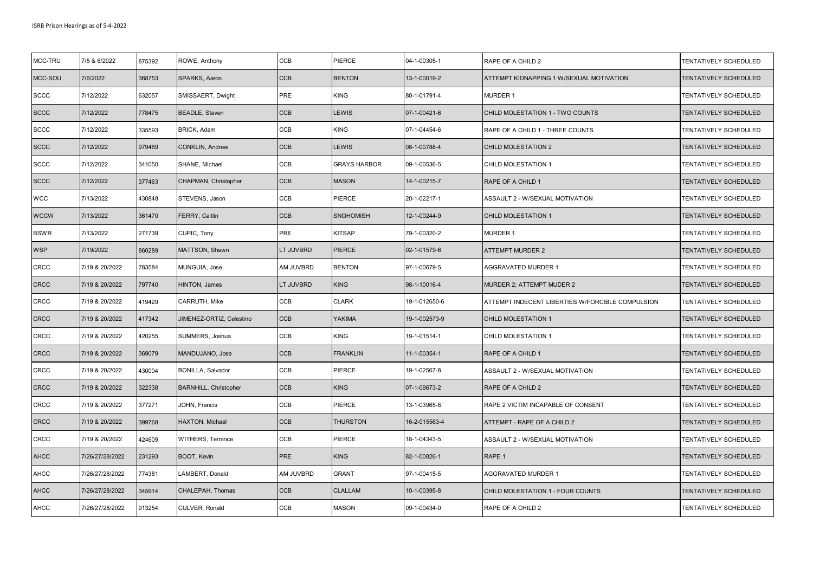| MCC-TRU     | 7/5 & 6/2022    | 875392 | ROWE, Anthony                | CCB       | PIERCE              | 04-1-00305-1  | RAPE OF A CHILD 2                                | TENTATIVELY SCHEDULED |
|-------------|-----------------|--------|------------------------------|-----------|---------------------|---------------|--------------------------------------------------|-----------------------|
| MCC-SOU     | 7/6/2022        | 368753 | SPARKS, Aaron                | CCB       | <b>BENTON</b>       | 13-1-00019-2  | ATTEMPT KIDNAPPING 1 W/SEXUAL MOTIVATION         | TENTATIVELY SCHEDULED |
| <b>SCCC</b> | 7/12/2022       | 632057 | SMISSAERT, Dwight            | PRE       | <b>KING</b>         | 80-1-01791-4  | <b>MURDER 1</b>                                  | TENTATIVELY SCHEDULED |
| <b>SCCC</b> | 7/12/2022       | 778475 | <b>BEADLE, Steven</b>        | CCB       | <b>LEWIS</b>        | 07-1-00421-6  | CHILD MOLESTATION 1 - TWO COUNTS                 | TENTATIVELY SCHEDULED |
| <b>SCCC</b> | 7/12/2022       | 335593 | BRICK, Adam                  | CCB       | <b>KING</b>         | 07-1-04454-6  | RAPE OF A CHILD 1 - THREE COUNTS                 | TENTATIVELY SCHEDULED |
| <b>SCCC</b> | 7/12/2022       | 979469 | <b>CONKLIN, Andrew</b>       | CCB       | LEWIS               | 08-1-00788-4  | <b>CHILD MOLESTATION 2</b>                       | TENTATIVELY SCHEDULED |
| <b>SCCC</b> | 7/12/2022       | 341050 | SHANE, Michael               | CCB       | <b>GRAYS HARBOR</b> | 09-1-00536-5  | CHILD MOLESTATION 1                              | TENTATIVELY SCHEDULED |
| <b>SCCC</b> | 7/12/2022       | 377463 | CHAPMAN, Christopher         | CCB       | <b>MASON</b>        | 14-1-00215-7  | RAPE OF A CHILD 1                                | TENTATIVELY SCHEDULED |
| <b>WCC</b>  | 7/13/2022       | 430848 | STEVENS, Jason               | CCB       | PIERCE              | 20-1-02217-1  | ASSAULT 2 - W/SEXUAL MOTIVATION                  | TENTATIVELY SCHEDULED |
| <b>WCCW</b> | 7/13/2022       | 361470 | FERRY, Caitlin               | CCB       | <b>SNOHOMISH</b>    | 12-1-00244-9  | <b>CHILD MOLESTATION 1</b>                       | TENTATIVELY SCHEDULED |
| <b>BSWR</b> | 7/13/2022       | 271739 | CUPIC, Tony                  | PRE       | <b>KITSAP</b>       | 79-1-00320-2  | <b>MURDER 1</b>                                  | TENTATIVELY SCHEDULED |
| <b>WSP</b>  | 7/19/2022       | 860289 | MATTSON, Shawn               | LT JUVBRD | <b>PIERCE</b>       | 02-1-01579-6  | ATTEMPT MURDER 2                                 | TENTATIVELY SCHEDULED |
| <b>CRCC</b> | 7/19 & 20/2022  | 783584 | MUNGUIA, Jose                | AM JUVBRD | <b>BENTON</b>       | 97-1-00679-5  | <b>AGGRAVATED MURDER 1</b>                       | TENTATIVELY SCHEDULED |
| <b>CRCC</b> | 7/19 & 20/2022  | 797740 | HINTON, James                | LT JUVBRD | <b>KING</b>         | 98-1-10016-4  | MURDER 2; ATTEMPT MUDER 2                        | TENTATIVELY SCHEDULED |
| <b>CRCC</b> | 7/19 & 20/2022  | 419429 | CARRUTH, Mike                | CCB       | <b>CLARK</b>        | 19-1-012650-6 | ATTEMPT INDECENT LIBERTIES W/FORCIBLE COMPULSION | TENTATIVELY SCHEDULED |
| CRCC        | 7/19 & 20/2022  | 417342 | JIMENEZ-ORTIZ, Celestino     | CCB       | <b>YAKIMA</b>       | 19-1-002573-9 | <b>CHILD MOLESTATION 1</b>                       | TENTATIVELY SCHEDULED |
| CRCC        | 7/19 & 20/2022  | 420255 | SUMMERS, Joshua              | CCB       | <b>KING</b>         | 19-1-01514-1  | CHILD MOLESTATION 1                              | TENTATIVELY SCHEDULED |
| <b>CRCC</b> | 7/19 & 20/2022  | 369079 | MANDUJANO, Jose              | CCB       | <b>FRANKLIN</b>     | 11-1-50354-1  | RAPE OF A CHILD 1                                | TENTATIVELY SCHEDULED |
| CRCC        | 7/19 & 20/2022  | 430004 | <b>BONILLA, Salvador</b>     | CCB       | PIERCE              | 19-1-02567-8  | ASSAULT 2 - W/SEXUAL MOTIVATION                  | TENTATIVELY SCHEDULED |
| <b>CRCC</b> | 7/19 & 20/2022  | 322338 | <b>BARNHILL, Christopher</b> | CCB       | <b>KING</b>         | 07-1-09673-2  | RAPE OF A CHILD 2                                | TENTATIVELY SCHEDULED |
| CRCC        | 7/19 & 20/2022  | 377271 | JOHN, Francis                | CCB       | PIERCE              | 13-1-03965-8  | RAPE 2 VICTIM INCAPABLE OF CONSENT               | TENTATIVELY SCHEDULED |
| <b>CRCC</b> | 7/19 & 20/2022  | 399768 | HAXTON, Michael              | CCB       | <b>THURSTON</b>     | 16-2-015563-4 | ATTEMPT - RAPE OF A CHILD 2                      | TENTATIVELY SCHEDULED |
| CRCC        | 7/19 & 20/2022  | 424609 | WITHERS, Terrance            | CCB       | PIERCE              | 18-1-04343-5  | ASSAULT 2 - W/SEXUAL MOTIVATION                  | TENTATIVELY SCHEDULED |
| <b>AHCC</b> | 7/26/27/28/2022 | 231293 | BOOT, Kevin                  | PRE       | <b>KING</b>         | 82-1-00826-1  | RAPE 1                                           | TENTATIVELY SCHEDULED |
| <b>AHCC</b> | 7/26/27/28/2022 | 774381 | AMBERT, Donald               | AM JUVBRD | <b>GRANT</b>        | 97-1-00415-5  | AGGRAVATED MURDER 1                              | TENTATIVELY SCHEDULED |
| <b>AHCC</b> | 7/26/27/28/2022 | 345914 | CHALEPAH, Thomas             | CCB       | <b>CLALLAM</b>      | 10-1-00395-8  | CHILD MOLESTATION 1 - FOUR COUNTS                | TENTATIVELY SCHEDULED |
| <b>AHCC</b> | 7/26/27/28/2022 | 913254 | CULVER, Ronald               | CCB       | <b>MASON</b>        | 09-1-00434-0  | RAPE OF A CHILD 2                                | TENTATIVELY SCHEDULED |
|             |                 |        |                              |           |                     |               |                                                  |                       |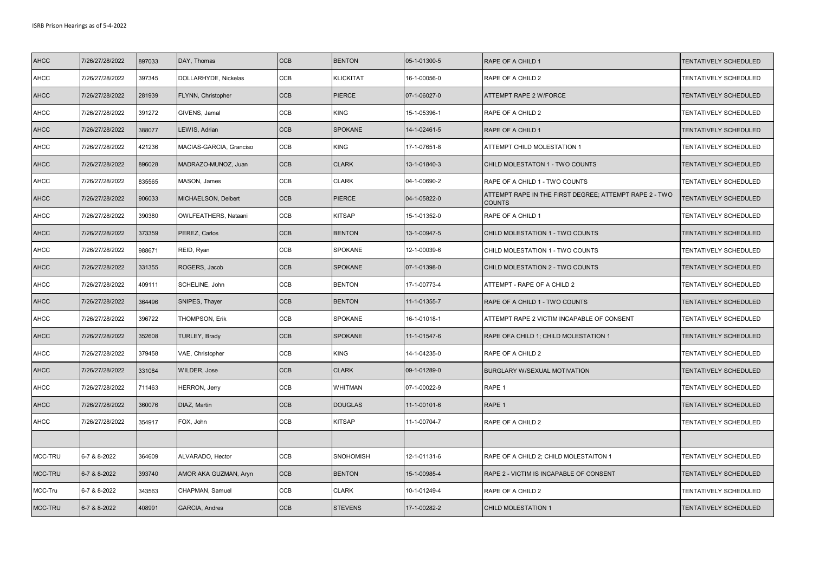| <b>AHCC</b> | 7/26/27/28/2022 | 897033 | DAY, Thomas             | <b>CCB</b> | <b>BENTON</b>    | 05-1-01300-5 | RAPE OF A CHILD 1                                                       | TENTATIVELY SCHEDULED |
|-------------|-----------------|--------|-------------------------|------------|------------------|--------------|-------------------------------------------------------------------------|-----------------------|
| AHCC        | 7/26/27/28/2022 | 397345 | DOLLARHYDE, Nickelas    | CCB        | KLICKITAT        | 16-1-00056-0 | RAPE OF A CHILD 2                                                       | TENTATIVELY SCHEDULED |
| <b>AHCC</b> | 7/26/27/28/2022 | 281939 | FLYNN, Christopher      | CCB        | <b>PIERCE</b>    | 07-1-06027-0 | ATTEMPT RAPE 2 W/FORCE                                                  | TENTATIVELY SCHEDULED |
| AHCC        | 7/26/27/28/2022 | 391272 | GIVENS, Jamal           | CCB        | KING             | 15-1-05396-1 | RAPE OF A CHILD 2                                                       | TENTATIVELY SCHEDULED |
| <b>AHCC</b> | 7/26/27/28/2022 | 388077 | LEWIS, Adrian           | CCB        | <b>SPOKANE</b>   | 14-1-02461-5 | RAPE OF A CHILD 1                                                       | TENTATIVELY SCHEDULED |
| AHCC        | 7/26/27/28/2022 | 421236 | MACIAS-GARCIA, Granciso | CCB        | KING             | 17-1-07651-8 | ATTEMPT CHILD MOLESTATION 1                                             | TENTATIVELY SCHEDULED |
| <b>AHCC</b> | 7/26/27/28/2022 | 896028 | MADRAZO-MUNOZ, Juan     | CCB        | <b>CLARK</b>     | 13-1-01840-3 | CHILD MOLESTATON 1 - TWO COUNTS                                         | TENTATIVELY SCHEDULED |
| AHCC        | 7/26/27/28/2022 | 835565 | MASON, James            | CCB        | <b>CLARK</b>     | 04-1-00690-2 | RAPE OF A CHILD 1 - TWO COUNTS                                          | TENTATIVELY SCHEDULED |
| <b>AHCC</b> | 7/26/27/28/2022 | 906033 | MICHAELSON, Delbert     | CCB        | <b>PIERCE</b>    | 04-1-05822-0 | ATTEMPT RAPE IN THE FIRST DEGREE; ATTEMPT RAPE 2 - TWO<br><b>COUNTS</b> | TENTATIVELY SCHEDULED |
| <b>AHCC</b> | 7/26/27/28/2022 | 390380 | OWLFEATHERS, Nataani    | CCB        | KITSAP           | 15-1-01352-0 | RAPE OF A CHILD 1                                                       | TENTATIVELY SCHEDULED |
| <b>AHCC</b> | 7/26/27/28/2022 | 373359 | PEREZ, Carlos           | CCB        | <b>BENTON</b>    | 13-1-00947-5 | CHILD MOLESTATION 1 - TWO COUNTS                                        | TENTATIVELY SCHEDULED |
| AHCC        | 7/26/27/28/2022 | 988671 | REID, Ryan              | CCB        | <b>SPOKANE</b>   | 12-1-00039-6 | CHILD MOLESTATION 1 - TWO COUNTS                                        | TENTATIVELY SCHEDULED |
| <b>AHCC</b> | 7/26/27/28/2022 | 331355 | ROGERS, Jacob           | CCB        | <b>SPOKANE</b>   | 07-1-01398-0 | CHILD MOLESTATION 2 - TWO COUNTS                                        | TENTATIVELY SCHEDULED |
| AHCC        | 7/26/27/28/2022 | 409111 | SCHELINE, John          | CCB        | <b>BENTON</b>    | 17-1-00773-4 | ATTEMPT - RAPE OF A CHILD 2                                             | TENTATIVELY SCHEDULED |
| <b>AHCC</b> | 7/26/27/28/2022 | 364496 | SNIPES, Thayer          | CCB        | <b>BENTON</b>    | 11-1-01355-7 | RAPE OF A CHILD 1 - TWO COUNTS                                          | TENTATIVELY SCHEDULED |
| AHCC        | 7/26/27/28/2022 | 396722 | THOMPSON, Erik          | CCB        | <b>SPOKANE</b>   | 16-1-01018-1 | ATTEMPT RAPE 2 VICTIM INCAPABLE OF CONSENT                              | TENTATIVELY SCHEDULED |
| <b>AHCC</b> | 7/26/27/28/2022 | 352608 | TURLEY, Brady           | CCB        | <b>SPOKANE</b>   | 11-1-01547-6 | RAPE OFA CHILD 1; CHILD MOLESTATION 1                                   | TENTATIVELY SCHEDULED |
| AHCC        | 7/26/27/28/2022 | 379458 | VAE, Christopher        | CCB        | KING             | 14-1-04235-0 | RAPE OF A CHILD 2                                                       | TENTATIVELY SCHEDULED |
| AHCC        | 7/26/27/28/2022 | 331084 | WILDER, Jose            | <b>CCB</b> | <b>CLARK</b>     | 09-1-01289-0 | BURGLARY W/SEXUAL MOTIVATION                                            | TENTATIVELY SCHEDULED |
| AHCC        | 7/26/27/28/2022 | 711463 | <b>HERRON, Jerry</b>    | CCB        | <b>WHITMAN</b>   | 07-1-00022-9 | RAPE 1                                                                  | TENTATIVELY SCHEDULED |
| <b>AHCC</b> | 7/26/27/28/2022 | 360076 | DIAZ, Martin            | <b>CCB</b> | <b>DOUGLAS</b>   | 11-1-00101-6 | RAPE 1                                                                  | TENTATIVELY SCHEDULED |
| AHCC        | 7/26/27/28/2022 | 354917 | FOX, John               | CCB        | KITSAP           | 11-1-00704-7 | RAPE OF A CHILD 2                                                       | TENTATIVELY SCHEDULED |
|             |                 |        |                         |            |                  |              |                                                                         |                       |
| MCC-TRU     | 6-7 & 8-2022    | 364609 | ALVARADO, Hector        | CCB        | <b>SNOHOMISH</b> | 12-1-01131-6 | RAPE OF A CHILD 2; CHILD MOLESTAITON 1                                  | TENTATIVELY SCHEDULED |
| MCC-TRU     | 6-7 & 8-2022    | 393740 | AMOR AKA GUZMAN, Aryn   | <b>CCB</b> | <b>BENTON</b>    | 15-1-00985-4 | RAPE 2 - VICTIM IS INCAPABLE OF CONSENT                                 | TENTATIVELY SCHEDULED |
| MCC-Tru     | 6-7 & 8-2022    | 343563 | CHAPMAN, Samuel         | CCB        | <b>CLARK</b>     | 10-1-01249-4 | RAPE OF A CHILD 2                                                       | TENTATIVELY SCHEDULED |
| MCC-TRU     | 6-7 & 8-2022    | 408991 | <b>GARCIA, Andres</b>   | <b>CCB</b> | <b>STEVENS</b>   | 17-1-00282-2 | CHILD MOLESTATION 1                                                     | TENTATIVELY SCHEDULED |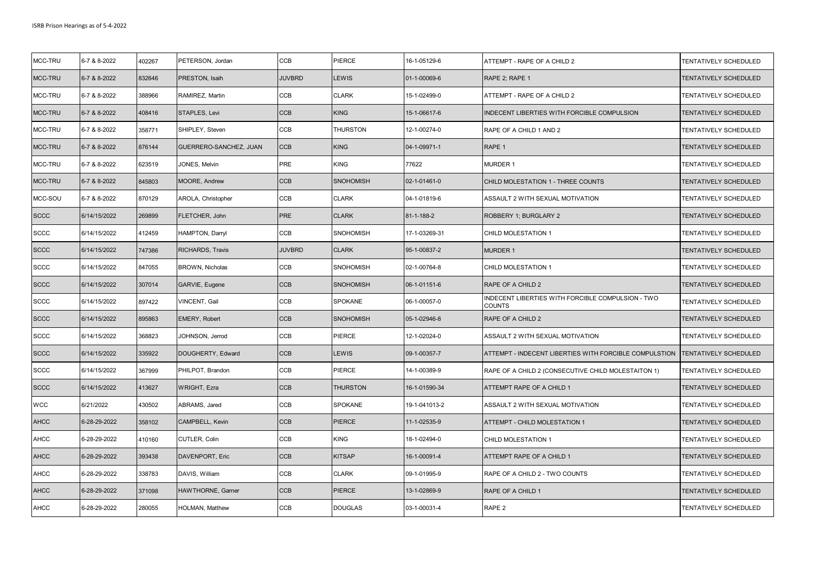| MCC-TRU     | 6-7 & 8-2022 | 402267 | PETERSON, Jordan       | CCB           | PIERCE           | 16-1-05129-6  | ATTEMPT - RAPE OF A CHILD 2                                 | TENTATIVELY SCHEDULED |
|-------------|--------------|--------|------------------------|---------------|------------------|---------------|-------------------------------------------------------------|-----------------------|
| MCC-TRU     | 6-7 & 8-2022 | 832646 | PRESTON, Isaih         | <b>JUVBRD</b> | LEWIS            | 01-1-00069-6  | RAPE 2; RAPE 1                                              | TENTATIVELY SCHEDULED |
| MCC-TRU     | 6-7 & 8-2022 | 388966 | RAMIREZ, Martin        | CCB           | <b>CLARK</b>     | 15-1-02499-0  | ATTEMPT - RAPE OF A CHILD 2                                 | TENTATIVELY SCHEDULED |
| MCC-TRU     | 6-7 & 8-2022 | 408416 | <b>STAPLES, Levi</b>   | CCB           | <b>KING</b>      | 15-1-06617-6  | INDECENT LIBERTIES WITH FORCIBLE COMPULSION                 | TENTATIVELY SCHEDULED |
| MCC-TRU     | 6-7 & 8-2022 | 358771 | SHIPLEY, Steven        | CCB           | <b>THURSTON</b>  | 12-1-00274-0  | RAPE OF A CHILD 1 AND 2                                     | TENTATIVELY SCHEDULED |
| MCC-TRU     | 6-7 & 8-2022 | 876144 | GUERRERO-SANCHEZ, JUAN | <b>CCB</b>    | <b>KING</b>      | 04-1-09971-1  | RAPE 1                                                      | TENTATIVELY SCHEDULED |
| MCC-TRU     | 6-7 & 8-2022 | 623519 | JONES, Melvin          | PRE           | <b>KING</b>      | 77622         | <b>MURDER 1</b>                                             | TENTATIVELY SCHEDULED |
| MCC-TRU     | 6-7 & 8-2022 | 845803 | MOORE, Andrew          | CCB           | <b>SNOHOMISH</b> | 02-1-01461-0  | CHILD MOLESTATION 1 - THREE COUNTS                          | TENTATIVELY SCHEDULED |
| MCC-SOU     | 6-7 & 8-2022 | 870129 | AROLA, Christopher     | CCB           | <b>CLARK</b>     | 04-1-01819-6  | ASSAULT 2 WITH SEXUAL MOTIVATION                            | TENTATIVELY SCHEDULED |
| <b>SCCC</b> | 6/14/15/2022 | 269899 | FLETCHER, John         | PRE           | <b>CLARK</b>     | 81-1-188-2    | ROBBERY 1; BURGLARY 2                                       | TENTATIVELY SCHEDULED |
| <b>SCCC</b> | 6/14/15/2022 | 412459 | HAMPTON, Darryl        | CCB           | <b>SNOHOMISH</b> | 17-1-03269-31 | CHILD MOLESTATION 1                                         | TENTATIVELY SCHEDULED |
| <b>SCCC</b> | 6/14/15/2022 | 747386 | RICHARDS, Travis       | <b>JUVBRD</b> | <b>CLARK</b>     | 95-1-00837-2  | <b>MURDER 1</b>                                             | TENTATIVELY SCHEDULED |
| <b>SCCC</b> | 6/14/15/2022 | 847055 | <b>BROWN, Nicholas</b> | CCB           | <b>SNOHOMISH</b> | 02-1-00764-8  | CHILD MOLESTATION 1                                         | TENTATIVELY SCHEDULED |
| <b>SCCC</b> | 6/14/15/2022 | 307014 | GARVIE, Eugene         | CCB           | <b>SNOHOMISH</b> | 06-1-01151-6  | RAPE OF A CHILD 2                                           | TENTATIVELY SCHEDULED |
| <b>SCCC</b> | 6/14/15/2022 | 897422 | VINCENT, Gail          | CCB           | <b>SPOKANE</b>   | 06-1-00057-0  | INDECENT LIBERTIES WITH FORCIBLE COMPULSION - TWO<br>COUNTS | TENTATIVELY SCHEDULED |
| <b>SCCC</b> | 6/14/15/2022 | 895863 | EMERY, Robert          | CCB           | <b>SNOHOMISH</b> | 05-1-02946-8  | RAPE OF A CHILD 2                                           | TENTATIVELY SCHEDULED |
| <b>SCCC</b> | 6/14/15/2022 | 368823 | JOHNSON, Jerrod        | CCB           | PIERCE           | 12-1-02024-0  | ASSAULT 2 WITH SEXUAL MOTIVATION                            | TENTATIVELY SCHEDULED |
| <b>SCCC</b> | 6/14/15/2022 | 335922 | DOUGHERTY, Edward      | CCB           | <b>LEWIS</b>     | 09-1-00357-7  | ATTEMPT - INDECENT LIBERTIES WITH FORCIBLE COMPULSTION      | TENTATIVELY SCHEDULED |
| <b>SCCC</b> | 6/14/15/2022 | 367999 | PHILPOT, Brandon       | CCB           | PIERCE           | 14-1-00389-9  | RAPE OF A CHILD 2 (CONSECUTIVE CHILD MOLESTAITON 1)         | TENTATIVELY SCHEDULED |
| <b>SCCC</b> | 6/14/15/2022 | 413627 | <b>WRIGHT, Ezra</b>    | CCB           | <b>THURSTON</b>  | 16-1-01590-34 | ATTEMPT RAPE OF A CHILD 1                                   | TENTATIVELY SCHEDULED |
| <b>WCC</b>  | 6/21/2022    | 430502 | ABRAMS, Jared          | CCB           | <b>SPOKANE</b>   | 19-1-041013-2 | ASSAULT 2 WITH SEXUAL MOTIVATION                            | TENTATIVELY SCHEDULED |
| <b>AHCC</b> | 6-28-29-2022 | 358102 | CAMPBELL, Kevin        | CCB           | <b>PIERCE</b>    | 11-1-02535-9  | ATTEMPT - CHILD MOLESTATION 1                               | TENTATIVELY SCHEDULED |
| <b>AHCC</b> | 6-28-29-2022 | 410160 | CUTLER, Colin          | CCB           | <b>KING</b>      | 18-1-02494-0  | CHILD MOLESTATION 1                                         | TENTATIVELY SCHEDULED |
| <b>AHCC</b> | 6-28-29-2022 | 393438 | DAVENPORT, Eric        | CCB           | <b>KITSAP</b>    | 16-1-00091-4  | ATTEMPT RAPE OF A CHILD 1                                   | TENTATIVELY SCHEDULED |
| <b>AHCC</b> | 6-28-29-2022 | 338783 | DAVIS, William         | CCB           | <b>CLARK</b>     | 09-1-01995-9  | RAPE OF A CHILD 2 - TWO COUNTS                              | TENTATIVELY SCHEDULED |
| <b>AHCC</b> | 6-28-29-2022 | 371098 | HAWTHORNE, Garner      | CCB           | <b>PIERCE</b>    | 13-1-02869-9  | RAPE OF A CHILD 1                                           | TENTATIVELY SCHEDULED |
| <b>AHCC</b> | 6-28-29-2022 | 280055 | HOLMAN, Matthew        | CCB           | <b>DOUGLAS</b>   | 03-1-00031-4  | RAPE <sub>2</sub>                                           | TENTATIVELY SCHEDULED |
|             |              |        |                        |               |                  |               |                                                             |                       |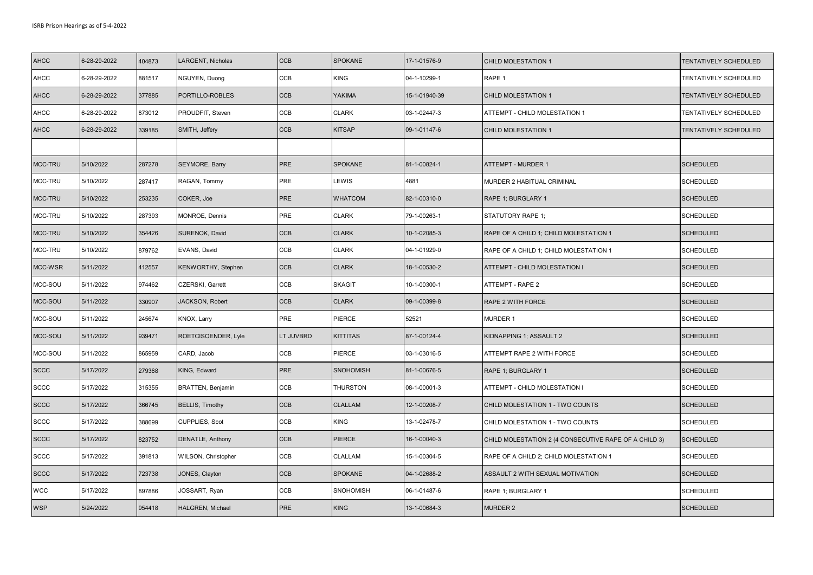| <b>AHCC</b> | 6-28-29-2022 | 404873 | <b>LARGENT, Nicholas</b> | <b>CCB</b>                  | <b>SPOKANE</b>   | 17-1-01576-9  | CHILD MOLESTATION 1                                   | TENTATIVELY SCHEDULED        |
|-------------|--------------|--------|--------------------------|-----------------------------|------------------|---------------|-------------------------------------------------------|------------------------------|
| AHCC        | 6-28-29-2022 | 881517 | NGUYEN, Duong            | CCB                         | <b>KING</b>      | 04-1-10299-1  | RAPE 1                                                | TENTATIVELY SCHEDULED        |
| <b>AHCC</b> | 6-28-29-2022 | 377885 | PORTILLO-ROBLES          | CCB                         | <b>YAKIMA</b>    | 15-1-01940-39 | CHILD MOLESTATION 1                                   | <b>FENTATIVELY SCHEDULED</b> |
| <b>AHCC</b> | 6-28-29-2022 | 873012 | PROUDFIT, Steven         | CCB                         | <b>CLARK</b>     | 03-1-02447-3  | ATTEMPT - CHILD MOLESTATION 1                         | TENTATIVELY SCHEDULED        |
| <b>AHCC</b> | 6-28-29-2022 | 339185 | SMITH, Jeffery           | CCB                         | <b>KITSAP</b>    | 09-1-01147-6  | CHILD MOLESTATION 1                                   | TENTATIVELY SCHEDULED        |
|             |              |        |                          |                             |                  |               |                                                       |                              |
| MCC-TRU     | 5/10/2022    | 287278 | SEYMORE, Barry           | PRE                         | <b>SPOKANE</b>   | 81-1-00824-1  | <b>ATTEMPT - MURDER 1</b>                             | <b>SCHEDULED</b>             |
| MCC-TRU     | 5/10/2022    | 287417 | RAGAN, Tommy             | PRE                         | LEWIS            | 4881          | MURDER 2 HABITUAL CRIMINAL                            | SCHEDULED                    |
| MCC-TRU     | 5/10/2022    | 253235 | COKER, Joe               | <b>PRE</b>                  | <b>WHATCOM</b>   | 82-1-00310-0  | RAPE 1; BURGLARY 1                                    | <b>SCHEDULED</b>             |
| MCC-TRU     | 5/10/2022    | 287393 | MONROE, Dennis           | PRE                         | <b>CLARK</b>     | 79-1-00263-1  | STATUTORY RAPE 1;                                     | <b>SCHEDULED</b>             |
| MCC-TRU     | 5/10/2022    | 354426 | SURENOK, David           | CCB                         | <b>CLARK</b>     | 10-1-02085-3  | RAPE OF A CHILD 1; CHILD MOLESTATION 1                | <b>SCHEDULED</b>             |
| MCC-TRU     | 5/10/2022    | 879762 | EVANS, David             | CCB                         | <b>CLARK</b>     | 04-1-01929-0  | RAPE OF A CHILD 1; CHILD MOLESTATION 1                | SCHEDULED                    |
| MCC-WSR     | 5/11/2022    | 412557 | KENWORTHY, Stephen       | CCB                         | <b>CLARK</b>     | 18-1-00530-2  | ATTEMPT - CHILD MOLESTATION I                         | <b>SCHEDULED</b>             |
| MCC-SOU     | 5/11/2022    | 974462 | CZERSKI, Garrett         | CCB                         | <b>SKAGIT</b>    | 10-1-00300-1  | ATTEMPT - RAPE 2                                      | SCHEDULED                    |
| MCC-SOU     | 5/11/2022    | 330907 | JACKSON, Robert          | CCB                         | <b>CLARK</b>     | 09-1-00399-8  | RAPE 2 WITH FORCE                                     | <b>SCHEDULED</b>             |
| MCC-SOU     | 5/11/2022    | 245674 | KNOX, Larry              | PRE                         | PIERCE           | 52521         | MURDER 1                                              | <b>SCHEDULED</b>             |
| MCC-SOU     | 5/11/2022    | 939471 | ROETCISOENDER, Lyle      | LT JUVBRD                   | <b>KITTITAS</b>  | 87-1-00124-4  | KIDNAPPING 1; ASSAULT 2                               | <b>SCHEDULED</b>             |
| MCC-SOU     | 5/11/2022    | 865959 | CARD, Jacob              | CCB                         | PIERCE           | 03-1-03016-5  | ATTEMPT RAPE 2 WITH FORCE                             | <b>SCHEDULED</b>             |
| <b>SCCC</b> | 5/17/2022    | 279368 | KING, Edward             | PRE                         | <b>SNOHOMISH</b> | 81-1-00676-5  | RAPE 1; BURGLARY 1                                    | <b>SCHEDULED</b>             |
| <b>SCCC</b> | 5/17/2022    | 315355 | BRATTEN, Benjamin        | $\ensuremath{\mathsf{CCB}}$ | <b>THURSTON</b>  | 08-1-00001-3  | ATTEMPT - CHILD MOLESTATION I                         | SCHEDULED                    |
| <b>SCCC</b> | 5/17/2022    | 366745 | <b>BELLIS, Timothy</b>   | CCB                         | <b>CLALLAM</b>   | 12-1-00208-7  | CHILD MOLESTATION 1 - TWO COUNTS                      | <b>SCHEDULED</b>             |
| <b>SCCC</b> | 5/17/2022    | 388699 | CUPPLIES, Scot           | CCB                         | <b>KING</b>      | 13-1-02478-7  | CHILD MOLESTATION 1 - TWO COUNTS                      | <b>SCHEDULED</b>             |
| <b>SCCC</b> | 5/17/2022    | 823752 | DENATLE, Anthony         | CCB                         | <b>PIERCE</b>    | 16-1-00040-3  | CHILD MOLESTATION 2 (4 CONSECUTIVE RAPE OF A CHILD 3) | <b>SCHEDULED</b>             |
| <b>SCCC</b> | 5/17/2022    | 391813 | WILSON, Christopher      | CCB                         | <b>CLALLAM</b>   | 15-1-00304-5  | RAPE OF A CHILD 2; CHILD MOLESTATION 1                | SCHEDULED                    |
| <b>SCCC</b> | 5/17/2022    | 723738 | JONES, Clayton           | <b>CCB</b>                  | <b>SPOKANE</b>   | 04-1-02688-2  | ASSAULT 2 WITH SEXUAL MOTIVATION                      | <b>SCHEDULED</b>             |
| <b>WCC</b>  | 5/17/2022    | 897886 | JOSSART, Ryan            | CCB                         | <b>SNOHOMISH</b> | 06-1-01487-6  | RAPE 1; BURGLARY 1                                    | SCHEDULED                    |
| <b>WSP</b>  | 5/24/2022    | 954418 | HALGREN, Michael         | <b>PRE</b>                  | <b>KING</b>      | 13-1-00684-3  | <b>MURDER 2</b>                                       | <b>SCHEDULED</b>             |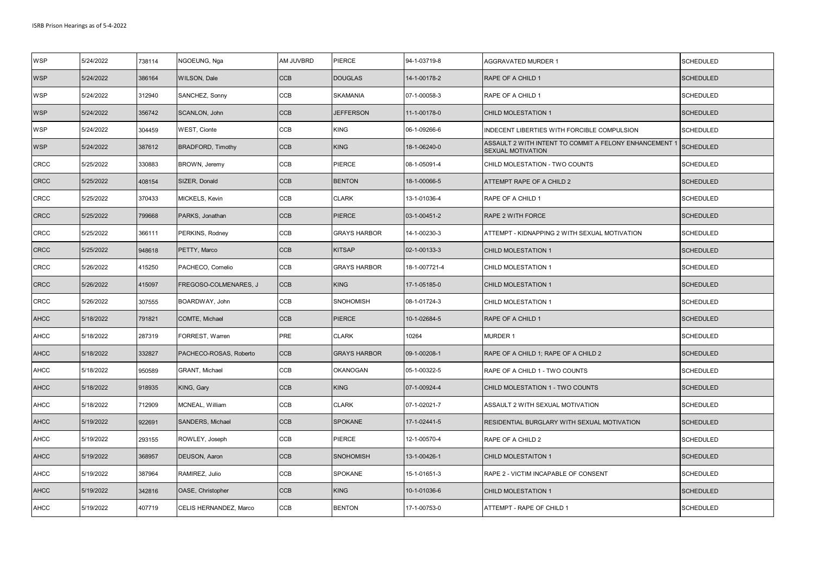| <b>WSP</b>  | 5/24/2022 | 738114 | NGOEUNG, Nga             | AM JUVBRD  | PIERCE              | 94-1-03719-8  | <b>AGGRAVATED MURDER 1</b>                                                  | <b>SCHEDULED</b> |
|-------------|-----------|--------|--------------------------|------------|---------------------|---------------|-----------------------------------------------------------------------------|------------------|
| <b>WSP</b>  | 5/24/2022 | 386164 | WILSON, Dale             | <b>CCB</b> | <b>DOUGLAS</b>      | 14-1-00178-2  | RAPE OF A CHILD 1                                                           | <b>SCHEDULED</b> |
| <b>WSP</b>  | 5/24/2022 | 312940 | SANCHEZ, Sonny           | CCB        | <b>SKAMANIA</b>     | 07-1-00058-3  | RAPE OF A CHILD 1                                                           | <b>SCHEDULED</b> |
| <b>WSP</b>  | 5/24/2022 | 356742 | SCANLON, John            | <b>CCB</b> | <b>JEFFERSON</b>    | 11-1-00178-0  | <b>CHILD MOLESTATION 1</b>                                                  | <b>SCHEDULED</b> |
| <b>WSP</b>  | 5/24/2022 | 304459 | <b>WEST, Cionte</b>      | <b>CCB</b> | <b>KING</b>         | 06-1-09266-6  | INDECENT LIBERTIES WITH FORCIBLE COMPULSION                                 | <b>SCHEDULED</b> |
| <b>WSP</b>  | 5/24/2022 | 387612 | <b>BRADFORD, Timothy</b> | <b>CCB</b> | <b>KING</b>         | 18-1-06240-0  | ASSAULT 2 WITH INTENT TO COMMIT A FELONY ENHANCEMENT 1<br>SEXUAL MOTIVATION | <b>SCHEDULED</b> |
| <b>CRCC</b> | 5/25/2022 | 330883 | BROWN, Jeremy            | <b>CCB</b> | PIERCE              | 08-1-05091-4  | CHILD MOLESTATION - TWO COUNTS                                              | <b>SCHEDULED</b> |
| <b>CRCC</b> | 5/25/2022 | 408154 | SIZER, Donald            | CCB        | <b>BENTON</b>       | 18-1-00066-5  | ATTEMPT RAPE OF A CHILD 2                                                   | <b>SCHEDULED</b> |
| <b>CRCC</b> | 5/25/2022 | 370433 | MICKELS, Kevin           | CCB        | <b>CLARK</b>        | 13-1-01036-4  | RAPE OF A CHILD 1                                                           | <b>SCHEDULED</b> |
| <b>CRCC</b> | 5/25/2022 | 799668 | PARKS, Jonathan          | <b>CCB</b> | <b>PIERCE</b>       | 03-1-00451-2  | RAPE 2 WITH FORCE                                                           | <b>SCHEDULED</b> |
| <b>CRCC</b> | 5/25/2022 | 366111 | PERKINS, Rodney          | CCB        | <b>GRAYS HARBOR</b> | 14-1-00230-3  | ATTEMPT - KIDNAPPING 2 WITH SEXUAL MOTIVATION                               | <b>SCHEDULED</b> |
| <b>CRCC</b> | 5/25/2022 | 948618 | PETTY, Marco             | <b>CCB</b> | <b>KITSAP</b>       | 02-1-00133-3  | <b>CHILD MOLESTATION 1</b>                                                  | <b>SCHEDULED</b> |
| <b>CRCC</b> | 5/26/2022 | 415250 | PACHECO, Cornelio        | <b>CCB</b> | <b>GRAYS HARBOR</b> | 18-1-007721-4 | CHILD MOLESTATION 1                                                         | <b>SCHEDULED</b> |
| <b>CRCC</b> | 5/26/2022 | 415097 | FREGOSO-COLMENARES, J    | <b>CCB</b> | <b>KING</b>         | 17-1-05185-0  | <b>CHILD MOLESTATION 1</b>                                                  | <b>SCHEDULED</b> |
| <b>CRCC</b> | 5/26/2022 | 307555 | BOARDWAY, John           | CCB        | SNOHOMISH           | 08-1-01724-3  | CHILD MOLESTATION 1                                                         | <b>SCHEDULED</b> |
| <b>AHCC</b> | 5/18/2022 | 791821 | COMTE, Michael           | CCB        | <b>PIERCE</b>       | 10-1-02684-5  | RAPE OF A CHILD 1                                                           | <b>SCHEDULED</b> |
| <b>AHCC</b> | 5/18/2022 | 287319 | FORREST, Warren          | PRE        | <b>CLARK</b>        | 10264         | <b>MURDER 1</b>                                                             | <b>SCHEDULED</b> |
| <b>AHCC</b> | 5/18/2022 | 332827 | PACHECO-ROSAS, Roberto   | CCB        | <b>GRAYS HARBOR</b> | 09-1-00208-1  | RAPE OF A CHILD 1; RAPE OF A CHILD 2                                        | <b>SCHEDULED</b> |
| <b>AHCC</b> | 5/18/2022 | 950589 | GRANT, Michael           | <b>CCB</b> | OKANOGAN            | 05-1-00322-5  | RAPE OF A CHILD 1 - TWO COUNTS                                              | <b>SCHEDULED</b> |
| <b>AHCC</b> | 5/18/2022 | 918935 | KING, Gary               | <b>CCB</b> | <b>KING</b>         | 07-1-00924-4  | CHILD MOLESTATION 1 - TWO COUNTS                                            | <b>SCHEDULED</b> |
| <b>AHCC</b> | 5/18/2022 | 712909 | MCNEAL, William          | CCB        | <b>CLARK</b>        | 07-1-02021-7  | ASSAULT 2 WITH SEXUAL MOTIVATION                                            | SCHEDULED        |
| <b>AHCC</b> | 5/19/2022 | 922691 | SANDERS, Michael         | <b>CCB</b> | <b>SPOKANE</b>      | 17-1-02441-5  | RESIDENTIAL BURGLARY WITH SEXUAL MOTIVATION                                 | <b>SCHEDULED</b> |
| <b>AHCC</b> | 5/19/2022 | 293155 | ROWLEY, Joseph           | CCB        | PIERCE              | 12-1-00570-4  | RAPE OF A CHILD 2                                                           | <b>SCHEDULED</b> |
| <b>AHCC</b> | 5/19/2022 | 368957 | <b>DEUSON, Aaron</b>     | <b>CCB</b> | <b>SNOHOMISH</b>    | 13-1-00426-1  | CHILD MOLESTAITON 1                                                         | <b>SCHEDULED</b> |
| <b>AHCC</b> | 5/19/2022 | 387964 | RAMIREZ, Julio           | <b>CCB</b> | <b>SPOKANE</b>      | 15-1-01651-3  | RAPE 2 - VICTIM INCAPABLE OF CONSENT                                        | <b>SCHEDULED</b> |
| <b>AHCC</b> | 5/19/2022 | 342816 | OASE, Christopher        | CCB        | <b>KING</b>         | 10-1-01036-6  | CHILD MOLESTATION 1                                                         | <b>SCHEDULED</b> |
| <b>AHCC</b> | 5/19/2022 | 407719 | CELIS HERNANDEZ, Marco   | CCB        | <b>BENTON</b>       | 17-1-00753-0  | ATTEMPT - RAPE OF CHILD 1                                                   | <b>SCHEDULED</b> |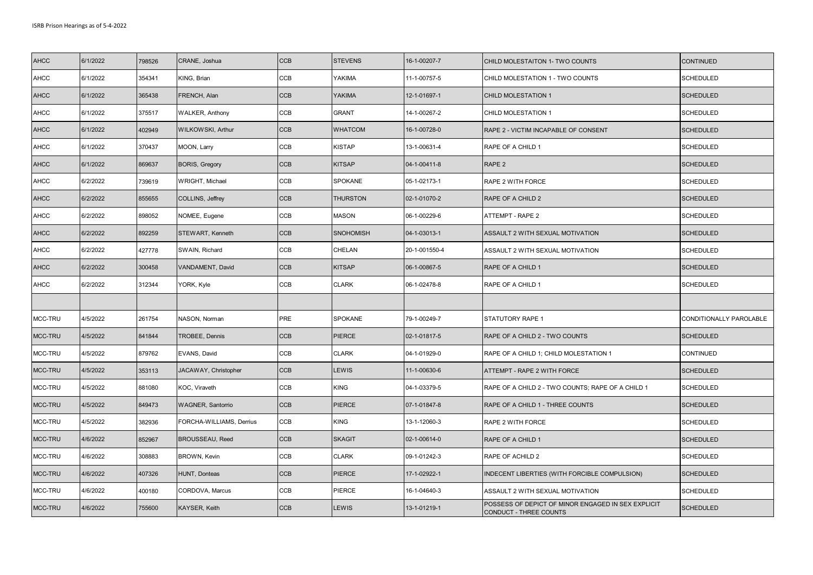| <b>AHCC</b> | 6/1/2022 | 798526 | CRANE, Joshua            | <b>CCB</b> | <b>STEVENS</b>   | 16-1-00207-7  | CHILD MOLESTAITON 1- TWO COUNTS                                                     | <b>CONTINUED</b>        |
|-------------|----------|--------|--------------------------|------------|------------------|---------------|-------------------------------------------------------------------------------------|-------------------------|
| <b>AHCC</b> | 6/1/2022 | 354341 | KING, Brian              | CCB        | YAKIMA           | 11-1-00757-5  | CHILD MOLESTATION 1 - TWO COUNTS                                                    | SCHEDULED               |
| <b>AHCC</b> | 6/1/2022 | 365438 | FRENCH, Alan             | <b>CCB</b> | <b>YAKIMA</b>    | 12-1-01697-1  | <b>CHILD MOLESTATION 1</b>                                                          | <b>SCHEDULED</b>        |
| <b>AHCC</b> | 6/1/2022 | 375517 | <b>WALKER, Anthony</b>   | <b>CCB</b> | <b>GRANT</b>     | 14-1-00267-2  | CHILD MOLESTATION 1                                                                 | <b>SCHEDULED</b>        |
| <b>AHCC</b> | 6/1/2022 | 402949 | <b>WILKOWSKI, Arthur</b> | <b>CCB</b> | <b>WHATCOM</b>   | 16-1-00728-0  | RAPE 2 - VICTIM INCAPABLE OF CONSENT                                                | <b>SCHEDULED</b>        |
| <b>AHCC</b> | 6/1/2022 | 370437 | MOON, Larry              | CCB        | <b>KISTAP</b>    | 13-1-00631-4  | RAPE OF A CHILD 1                                                                   | <b>SCHEDULED</b>        |
| <b>AHCC</b> | 6/1/2022 | 869637 | <b>BORIS, Gregory</b>    | <b>CCB</b> | <b>KITSAP</b>    | 04-1-00411-8  | RAPE 2                                                                              | <b>SCHEDULED</b>        |
| <b>AHCC</b> | 6/2/2022 | 739619 | WRIGHT, Michael          | <b>CCB</b> | <b>SPOKANE</b>   | 05-1-02173-1  | RAPE 2 WITH FORCE                                                                   | <b>SCHEDULED</b>        |
| <b>AHCC</b> | 6/2/2022 | 855655 | COLLINS, Jeffrey         | <b>CCB</b> | <b>THURSTON</b>  | 02-1-01070-2  | RAPE OF A CHILD 2                                                                   | <b>SCHEDULED</b>        |
| <b>AHCC</b> | 6/2/2022 | 898052 | NOMEE, Eugene            | CCB        | <b>MASON</b>     | 06-1-00229-6  | ATTEMPT - RAPE 2                                                                    | <b>SCHEDULED</b>        |
| <b>AHCC</b> | 6/2/2022 | 892259 | STEWART, Kenneth         | <b>CCB</b> | <b>SNOHOMISH</b> | 04-1-03013-1  | ASSAULT 2 WITH SEXUAL MOTIVATION                                                    | <b>SCHEDULED</b>        |
| <b>AHCC</b> | 6/2/2022 | 427778 | SWAIN, Richard           | CCB        | CHELAN           | 20-1-001550-4 | ASSAULT 2 WITH SEXUAL MOTIVATION                                                    | <b>SCHEDULED</b>        |
| <b>AHCC</b> | 6/2/2022 | 300458 | VANDAMENT, David         | <b>CCB</b> | <b>KITSAP</b>    | 06-1-00867-5  | RAPE OF A CHILD 1                                                                   | <b>SCHEDULED</b>        |
| <b>AHCC</b> | 6/2/2022 | 312344 | YORK, Kyle               | CCB        | <b>CLARK</b>     | 06-1-02478-8  | RAPE OF A CHILD 1                                                                   | SCHEDULED               |
|             |          |        |                          |            |                  |               |                                                                                     |                         |
| MCC-TRU     | 4/5/2022 | 261754 | NASON, Norman            | PRE        | <b>SPOKANE</b>   | 79-1-00249-7  | <b>STATUTORY RAPE 1</b>                                                             | CONDITIONALLY PAROLABLE |
| MCC-TRU     | 4/5/2022 | 841844 | TROBEE, Dennis           | <b>CCB</b> | <b>PIERCE</b>    | 02-1-01817-5  | RAPE OF A CHILD 2 - TWO COUNTS                                                      | <b>SCHEDULED</b>        |
| MCC-TRU     | 4/5/2022 | 879762 | EVANS, David             | CCB        | <b>CLARK</b>     | 04-1-01929-0  | RAPE OF A CHILD 1; CHILD MOLESTATION 1                                              | CONTINUED               |
| MCC-TRU     | 4/5/2022 | 353113 | JACAWAY, Christopher     | <b>CCB</b> | LEWIS            | 11-1-00630-6  | ATTEMPT - RAPE 2 WITH FORCE                                                         | <b>SCHEDULED</b>        |
| MCC-TRU     | 4/5/2022 | 881080 | KOC, Viraveth            | CCB        | <b>KING</b>      | 04-1-03379-5  | RAPE OF A CHILD 2 - TWO COUNTS; RAPE OF A CHILD 1                                   | <b>SCHEDULED</b>        |
| MCC-TRU     | 4/5/2022 | 849473 | <b>WAGNER, Santorrio</b> | <b>CCB</b> | PIERCE           | 07-1-01847-8  | RAPE OF A CHILD 1 - THREE COUNTS                                                    | <b>SCHEDULED</b>        |
| MCC-TRU     | 4/5/2022 | 382936 | FORCHA-WILLIAMS, Derrius | CCB        | KING             | 13-1-12060-3  | RAPE 2 WITH FORCE                                                                   | <b>SCHEDULED</b>        |
| MCC-TRU     | 4/6/2022 | 852967 | <b>BROUSSEAU, Reed</b>   | <b>CCB</b> | <b>SKAGIT</b>    | 02-1-00614-0  | RAPE OF A CHILD 1                                                                   | <b>SCHEDULED</b>        |
| MCC-TRU     | 4/6/2022 | 308883 | <b>BROWN, Kevin</b>      | CCB        | <b>CLARK</b>     | 09-1-01242-3  | RAPE OF ACHILD 2                                                                    | <b>SCHEDULED</b>        |
| MCC-TRU     | 4/6/2022 | 407326 | HUNT, Donteas            | <b>CCB</b> | PIERCE           | 17-1-02922-1  | INDECENT LIBERTIES (WITH FORCIBLE COMPULSION)                                       | <b>SCHEDULED</b>        |
| MCC-TRU     | 4/6/2022 | 400180 | CORDOVA, Marcus          | CCB        | PIERCE           | 16-1-04640-3  | ASSAULT 2 WITH SEXUAL MOTIVATION                                                    | SCHEDULED               |
| MCC-TRU     | 4/6/2022 | 755600 | <b>KAYSER, Keith</b>     | <b>CCB</b> | LEWIS            | 13-1-01219-1  | POSSESS OF DEPICT OF MINOR ENGAGED IN SEX EXPLICIT<br><b>CONDUCT - THREE COUNTS</b> | <b>SCHEDULED</b>        |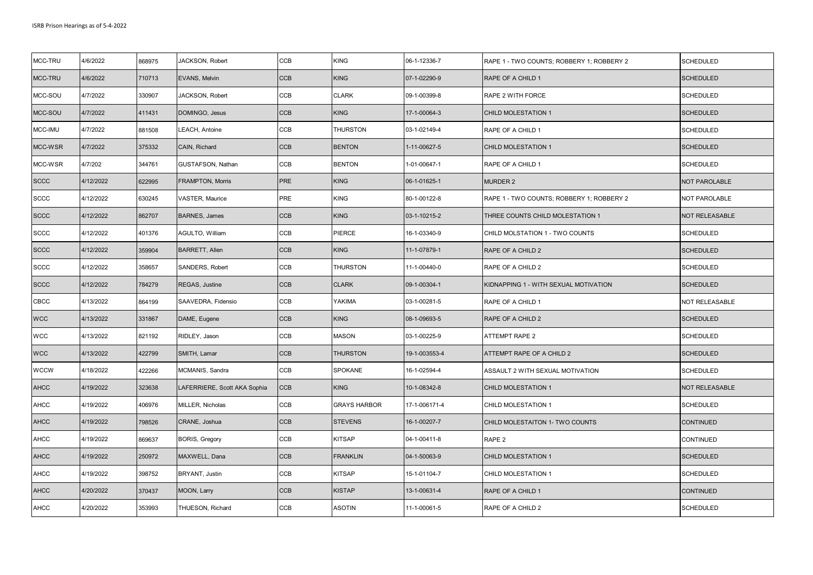| MCC-TRU     | 4/6/2022  | 868975 | JACKSON, Robert              | CCB        | <b>KING</b>         | 06-1-12336-7  | RAPE 1 - TWO COUNTS; ROBBERY 1; ROBBERY 2 | <b>SCHEDULED</b> |
|-------------|-----------|--------|------------------------------|------------|---------------------|---------------|-------------------------------------------|------------------|
| MCC-TRU     | 4/6/2022  | 710713 | EVANS, Melvin                | CCB        | <b>KING</b>         | 07-1-02290-9  | RAPE OF A CHILD 1                         | <b>SCHEDULED</b> |
| MCC-SOU     | 4/7/2022  | 330907 | JACKSON, Robert              | CCB        | <b>CLARK</b>        | 09-1-00399-8  | RAPE 2 WITH FORCE                         | <b>SCHEDULED</b> |
| MCC-SOU     | 4/7/2022  | 411431 | DOMINGO, Jesus               | CCB        | <b>KING</b>         | 17-1-00064-3  | <b>CHILD MOLESTATION 1</b>                | <b>SCHEDULED</b> |
| MCC-IMU     | 4/7/2022  | 881508 | LEACH, Antoine               | CCB        | <b>THURSTON</b>     | 03-1-02149-4  | RAPE OF A CHILD 1                         | <b>SCHEDULED</b> |
| MCC-WSR     | 4/7/2022  | 375332 | CAIN, Richard                | CCB        | <b>BENTON</b>       | 1-11-00627-5  | CHILD MOLESTATION 1                       | <b>SCHEDULED</b> |
| MCC-WSR     | 4/7/202   | 344761 | GUSTAFSON, Nathan            | CCB        | <b>BENTON</b>       | 1-01-00647-1  | RAPE OF A CHILD 1                         | <b>SCHEDULED</b> |
| <b>SCCC</b> | 4/12/2022 | 622995 | <b>FRAMPTON, Morris</b>      | PRE        | <b>KING</b>         | 06-1-01625-1  | <b>MURDER 2</b>                           | NOT PAROLABLE    |
| <b>SCCC</b> | 4/12/2022 | 630245 | <b>VASTER, Maurice</b>       | PRE        | <b>KING</b>         | 80-1-00122-8  | RAPE 1 - TWO COUNTS; ROBBERY 1; ROBBERY 2 | NOT PAROLABLE    |
| <b>SCCC</b> | 4/12/2022 | 862707 | <b>BARNES, James</b>         | CCB        | <b>KING</b>         | 03-1-10215-2  | THREE COUNTS CHILD MOLESTATION 1          | NOT RELEASABLE   |
| <b>SCCC</b> | 4/12/2022 | 401376 | AGULTO, William              | CCB        | PIERCE              | 16-1-03340-9  | CHILD MOLSTATION 1 - TWO COUNTS           | SCHEDULED        |
| <b>SCCC</b> | 4/12/2022 | 359904 | <b>BARRETT, Allen</b>        | CCB        | <b>KING</b>         | 11-1-07879-1  | RAPE OF A CHILD 2                         | <b>SCHEDULED</b> |
| <b>SCCC</b> | 4/12/2022 | 358657 | SANDERS, Robert              | CCB        | <b>THURSTON</b>     | 11-1-00440-0  | RAPE OF A CHILD 2                         | <b>SCHEDULED</b> |
| <b>SCCC</b> | 4/12/2022 | 784279 | REGAS, Justine               | CCB        | <b>CLARK</b>        | 09-1-00304-1  | KIDNAPPING 1 - WITH SEXUAL MOTIVATION     | <b>SCHEDULED</b> |
| CBCC        | 4/13/2022 | 864199 | SAAVEDRA, Fidensio           | CCB        | YAKIMA              | 03-1-00281-5  | RAPE OF A CHILD 1                         | NOT RELEASABLE   |
| <b>WCC</b>  | 4/13/2022 | 331867 | DAME, Eugene                 | CCB        | <b>KING</b>         | 08-1-09693-5  | RAPE OF A CHILD 2                         | <b>SCHEDULED</b> |
| <b>WCC</b>  | 4/13/2022 | 821192 | RIDLEY, Jason                | CCB        | <b>MASON</b>        | 03-1-00225-9  | <b>ATTEMPT RAPE 2</b>                     | <b>SCHEDULED</b> |
| <b>WCC</b>  | 4/13/2022 | 422799 | SMITH, Lamar                 | CCB        | <b>THURSTON</b>     | 19-1-003553-4 | ATTEMPT RAPE OF A CHILD 2                 | <b>SCHEDULED</b> |
| <b>WCCW</b> | 4/18/2022 | 422266 | MCMANIS, Sandra              | CCB        | SPOKANE             | 16-1-02594-4  | ASSAULT 2 WITH SEXUAL MOTIVATION          | <b>SCHEDULED</b> |
| <b>AHCC</b> | 4/19/2022 | 323638 | LAFERRIERE, Scott AKA Sophia | <b>CCB</b> | <b>KING</b>         | 10-1-08342-8  | <b>CHILD MOLESTATION 1</b>                | NOT RELEASABLE   |
| <b>AHCC</b> | 4/19/2022 | 406976 | MILLER, Nicholas             | CCB        | <b>GRAYS HARBOR</b> | 17-1-006171-4 | CHILD MOLESTATION 1                       | <b>SCHEDULED</b> |
| <b>AHCC</b> | 4/19/2022 | 798526 | CRANE, Joshua                | CCB        | <b>STEVENS</b>      | 16-1-00207-7  | CHILD MOLESTAITON 1- TWO COUNTS           | <b>CONTINUED</b> |
| <b>AHCC</b> | 4/19/2022 | 869637 | <b>BORIS, Gregory</b>        | CCB        | <b>KITSAP</b>       | 04-1-00411-8  | RAPE <sub>2</sub>                         | CONTINUED        |
| <b>AHCC</b> | 4/19/2022 | 250972 | MAXWELL, Dana                | CCB        | <b>FRANKLIN</b>     | 04-1-50063-9  | CHILD MOLESTATION 1                       | <b>SCHEDULED</b> |
| <b>AHCC</b> | 4/19/2022 | 398752 | BRYANT, Justin               | CCB        | <b>KITSAP</b>       | 15-1-01104-7  | CHILD MOLESTATION 1                       | <b>SCHEDULED</b> |
| <b>AHCC</b> | 4/20/2022 | 370437 | MOON, Larry                  | CCB        | <b>KISTAP</b>       | 13-1-00631-4  | RAPE OF A CHILD 1                         | <b>CONTINUED</b> |
| <b>AHCC</b> | 4/20/2022 | 353993 | THUESON, Richard             | CCB        | <b>ASOTIN</b>       | 11-1-00061-5  | RAPE OF A CHILD 2                         | <b>SCHEDULED</b> |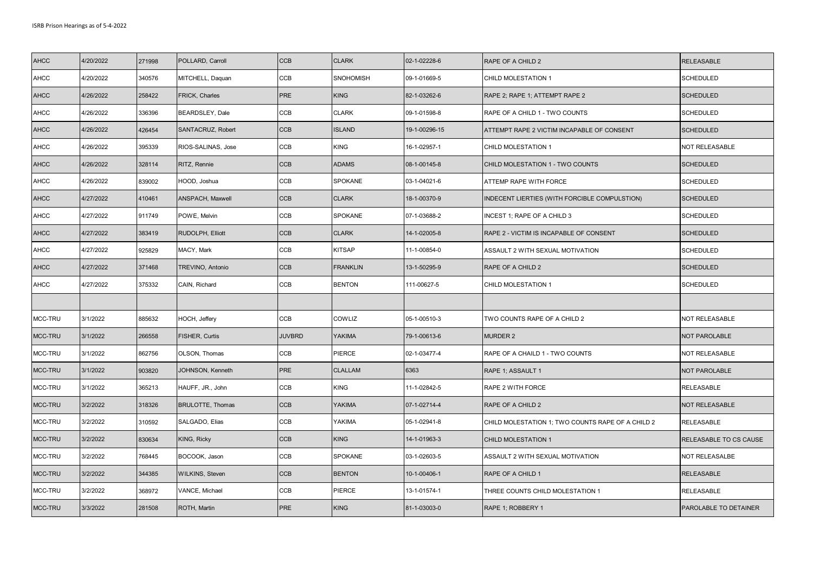| <b>AHCC</b> | 4/20/2022 | 271998 | POLLARD, Carroll        | <b>CCB</b>    | <b>CLARK</b>    | 02-1-02228-6  | RAPE OF A CHILD 2                                 | <b>RELEASABLE</b>      |
|-------------|-----------|--------|-------------------------|---------------|-----------------|---------------|---------------------------------------------------|------------------------|
| <b>AHCC</b> | 4/20/2022 | 340576 | MITCHELL, Daquan        | CCB           | SNOHOMISH       | 09-1-01669-5  | CHILD MOLESTATION 1                               | <b>SCHEDULED</b>       |
| <b>AHCC</b> | 4/26/2022 | 258422 | <b>FRICK, Charles</b>   | PRE           | <b>KING</b>     | 82-1-03262-6  | RAPE 2; RAPE 1; ATTEMPT RAPE 2                    | <b>SCHEDULED</b>       |
| <b>AHCC</b> | 4/26/2022 | 336396 | <b>BEARDSLEY, Dale</b>  | CCB           | <b>CLARK</b>    | 09-1-01598-8  | RAPE OF A CHILD 1 - TWO COUNTS                    | <b>SCHEDULED</b>       |
| <b>AHCC</b> | 4/26/2022 | 426454 | SANTACRUZ, Robert       | <b>CCB</b>    | <b>ISLAND</b>   | 19-1-00296-15 | ATTEMPT RAPE 2 VICTIM INCAPABLE OF CONSENT        | <b>SCHEDULED</b>       |
| <b>AHCC</b> | 4/26/2022 | 395339 | RIOS-SALINAS, Jose      | CCB           | <b>KING</b>     | 16-1-02957-1  | CHILD MOLESTATION 1                               | NOT RELEASABLE         |
| <b>AHCC</b> | 4/26/2022 | 328114 | RITZ, Rennie            | CCB           | <b>ADAMS</b>    | 08-1-00145-8  | CHILD MOLESTATION 1 - TWO COUNTS                  | <b>SCHEDULED</b>       |
| <b>AHCC</b> | 4/26/2022 | 839002 | HOOD, Joshua            | CCB           | SPOKANE         | 03-1-04021-6  | ATTEMP RAPE WITH FORCE                            | <b>SCHEDULED</b>       |
| <b>AHCC</b> | 4/27/2022 | 410461 | ANSPACH, Maxwell        | <b>CCB</b>    | <b>CLARK</b>    | 18-1-00370-9  | INDECENT LIERTIES (WITH FORCIBLE COMPULSTION)     | <b>SCHEDULED</b>       |
| <b>AHCC</b> | 4/27/2022 | 911749 | POWE, Melvin            | CCB           | SPOKANE         | 07-1-03688-2  | INCEST 1; RAPE OF A CHILD 3                       | <b>SCHEDULED</b>       |
| <b>AHCC</b> | 4/27/2022 | 383419 | RUDOLPH, Elliott        | CCB           | <b>CLARK</b>    | 14-1-02005-8  | RAPE 2 - VICTIM IS INCAPABLE OF CONSENT           | <b>SCHEDULED</b>       |
| <b>AHCC</b> | 4/27/2022 | 925829 | MACY, Mark              | CCB           | <b>KITSAP</b>   | 11-1-00854-0  | ASSAULT 2 WITH SEXUAL MOTIVATION                  | <b>SCHEDULED</b>       |
| <b>AHCC</b> | 4/27/2022 | 371468 | TREVINO, Antonio        | CCB           | <b>FRANKLIN</b> | 13-1-50295-9  | RAPE OF A CHILD 2                                 | <b>SCHEDULED</b>       |
| <b>AHCC</b> | 4/27/2022 | 375332 | CAIN, Richard           | CCB           | <b>BENTON</b>   | 111-00627-5   | CHILD MOLESTATION 1                               | <b>SCHEDULED</b>       |
|             |           |        |                         |               |                 |               |                                                   |                        |
| MCC-TRU     | 3/1/2022  | 885632 | HOCH, Jeffery           | CCB           | COWLIZ          | 05-1-00510-3  | TWO COUNTS RAPE OF A CHILD 2                      | NOT RELEASABLE         |
| MCC-TRU     | 3/1/2022  | 266558 | FISHER, Curtis          | <b>JUVBRD</b> | YAKIMA          | 79-1-00613-6  | <b>MURDER 2</b>                                   | NOT PAROLABLE          |
| MCC-TRU     | 3/1/2022  | 862756 | OLSON, Thomas           | CCB           | PIERCE          | 02-1-03477-4  | RAPE OF A CHAILD 1 - TWO COUNTS                   | NOT RELEASABLE         |
| MCC-TRU     | 3/1/2022  | 903820 | JOHNSON, Kenneth        | PRE           | <b>CLALLAM</b>  | 6363          | RAPE 1; ASSAULT 1                                 | NOT PAROLABLE          |
| MCC-TRU     | 3/1/2022  | 365213 | HAUFF, JR., John        | CCB           | <b>KING</b>     | 11-1-02842-5  | RAPE 2 WITH FORCE                                 | RELEASABLE             |
| MCC-TRU     | 3/2/2022  | 318326 | <b>BRULOTTE, Thomas</b> | <b>CCB</b>    | <b>YAKIMA</b>   | 07-1-02714-4  | RAPE OF A CHILD 2                                 | NOT RELEASABLE         |
| MCC-TRU     | 3/2/2022  | 310592 | SALGADO, Elias          | CCB           | YAKIMA          | 05-1-02941-8  | CHILD MOLESTATION 1; TWO COUNTS RAPE OF A CHILD 2 | RELEASABLE             |
| MCC-TRU     | 3/2/2022  | 830634 | KING, Ricky             | CCB           | <b>KING</b>     | 14-1-01963-3  | CHILD MOLESTATION 1                               | RELEASABLE TO CS CAUSE |
| MCC-TRU     | 3/2/2022  | 768445 | BOCOOK, Jason           | CCB           | SPOKANE         | 03-1-02603-5  | ASSAULT 2 WITH SEXUAL MOTIVATION                  | NOT RELEASALBE         |
| MCC-TRU     | 3/2/2022  | 344385 | <b>WILKINS, Steven</b>  | <b>CCB</b>    | <b>BENTON</b>   | 10-1-00406-1  | RAPE OF A CHILD 1                                 | <b>RELEASABLE</b>      |
| MCC-TRU     | 3/2/2022  | 368972 | VANCE, Michael          | CCB           | PIERCE          | 13-1-01574-1  | THREE COUNTS CHILD MOLESTATION 1                  | RELEASABLE             |
| MCC-TRU     | 3/3/2022  | 281508 | ROTH, Martin            | PRE           | <b>KING</b>     | 81-1-03003-0  | RAPE 1; ROBBERY 1                                 | PAROLABLE TO DETAINER  |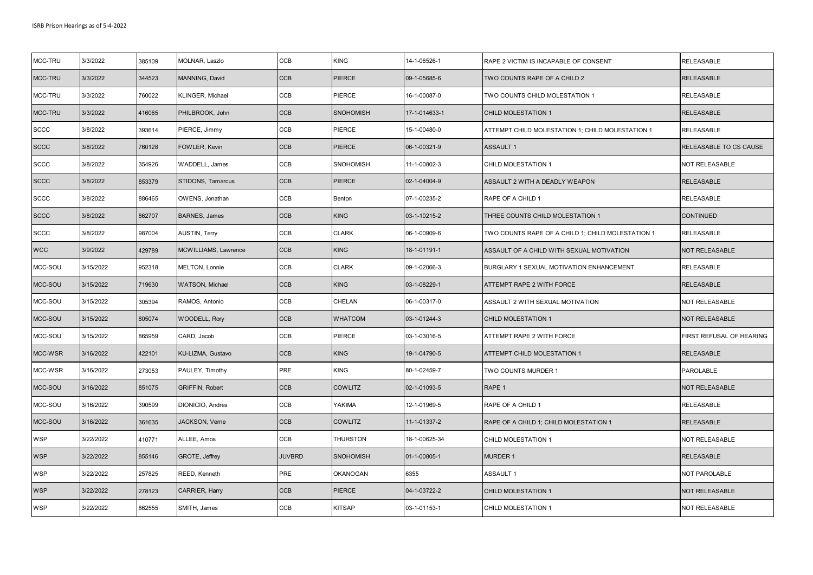| MCC-TRU     | 3/3/2022  | 385109 | MOLNAR, Laszlo         | CCB           | <b>KING</b>      | 14-1-06526-1  | RAPE 2 VICTIM IS INCAPABLE OF CONSENT             | RELEASABLE               |
|-------------|-----------|--------|------------------------|---------------|------------------|---------------|---------------------------------------------------|--------------------------|
| MCC-TRU     | 3/3/2022  | 344523 | MANNING, David         | CCB           | PIERCE           | 09-1-05685-6  | TWO COUNTS RAPE OF A CHILD 2                      | <b>RELEASABLE</b>        |
| MCC-TRU     | 3/3/2022  | 760022 | KLINGER, Michael       | CCB           | PIERCE           | 16-1-00087-0  | TWO COUNTS CHILD MOLESTATION 1                    | RELEASABLE               |
| MCC-TRU     | 3/3/2022  | 416065 | PHILBROOK, John        | <b>CCB</b>    | <b>SNOHOMISH</b> | 17-1-014633-1 | <b>CHILD MOLESTATION 1</b>                        | <b>RELEASABLE</b>        |
| <b>SCCC</b> | 3/8/2022  | 393614 | PIERCE, Jimmy          | CCB           | PIERCE           | 15-1-00480-0  | ATTEMPT CHILD MOLESTATION 1; CHILD MOLESTATION 1  | RELEASABLE               |
| <b>SCCC</b> | 3/8/2022  | 760128 | FOWLER, Kevin          | CCB           | <b>PIERCE</b>    | 06-1-00321-9  | <b>ASSAULT 1</b>                                  | RELEASABLE TO CS CAUSE   |
| <b>SCCC</b> | 3/8/2022  | 354926 | WADDELL, James         | CCB           | SNOHOMISH        | 11-1-00802-3  | CHILD MOLESTATION 1                               | NOT RELEASABLE           |
| <b>SCCC</b> | 3/8/2022  | 853379 | STIDONS, Tamarcus      | <b>CCB</b>    | <b>PIERCE</b>    | 02-1-04004-9  | ASSAULT 2 WITH A DEADLY WEAPON                    | <b>RELEASABLE</b>        |
| <b>SCCC</b> | 3/8/2022  | 886465 | OWENS, Jonathan        | CCB           | Benton           | 07-1-00235-2  | RAPE OF A CHILD 1                                 | RELEASABLE               |
| <b>SCCC</b> | 3/8/2022  | 862707 | <b>BARNES, James</b>   | CCB           | <b>KING</b>      | 03-1-10215-2  | THREE COUNTS CHILD MOLESTATION 1                  | <b>CONTINUED</b>         |
| <b>SCCC</b> | 3/8/2022  | 987004 | <b>AUSTIN, Terry</b>   | CCB           | <b>CLARK</b>     | 06-1-00909-6  | TWO COUNTS RAPE OF A CHILD 1; CHILD MOLESTATION 1 | RELEASABLE               |
| <b>WCC</b>  | 3/9/2022  | 429789 | MCWILLIAMS, Lawrence   | <b>CCB</b>    | <b>KING</b>      | 18-1-01191-1  | ASSAULT OF A CHILD WITH SEXUAL MOTIVATION         | NOT RELEASABLE           |
| MCC-SOU     | 3/15/2022 | 952318 | MELTON, Lonnie         | CCB           | <b>CLARK</b>     | 09-1-02066-3  | <b>BURGLARY 1 SEXUAL MOTIVATION ENHANCEMENT</b>   | <b>RELEASABLE</b>        |
| MCC-SOU     | 3/15/2022 | 719630 | WATSON, Michael        | CCB           | <b>KING</b>      | 03-1-08229-1  | ATTEMPT RAPE 2 WITH FORCE                         | <b>RELEASABLE</b>        |
| MCC-SOU     | 3/15/2022 | 305394 | RAMOS, Antonio         | CCB           | CHELAN           | 06-1-00317-0  | ASSAULT 2 WITH SEXUAL MOTIVATION                  | NOT RELEASABLE           |
| MCC-SOU     | 3/15/2022 | 805074 | <b>WOODELL, Rory</b>   | CCB           | <b>WHATCOM</b>   | 03-1-01244-3  | <b>CHILD MOLESTATION 1</b>                        | NOT RELEASABLE           |
| MCC-SOU     | 3/15/2022 | 865959 | CARD, Jacob            | CCB           | PIERCE           | 03-1-03016-5  | ATTEMPT RAPE 2 WITH FORCE                         | FIRST REFUSAL OF HEARING |
| MCC-WSR     | 3/16/2022 | 422101 | KU-LIZMA, Gustavo      | CCB           | <b>KING</b>      | 19-1-04790-5  | <b>ATTEMPT CHILD MOLESTATION 1</b>                | <b>RELEASABLE</b>        |
| MCC-WSR     | 3/16/2022 | 273053 | PAULEY, Timothy        | PRE           | <b>KING</b>      | 80-1-02459-7  | TWO COUNTS MURDER 1                               | PAROLABLE                |
| MCC-SOU     | 3/16/2022 | 851075 | <b>GRIFFIN, Robert</b> | CCB           | <b>COWLITZ</b>   | 02-1-01093-5  | RAPE 1                                            | NOT RELEASABLE           |
| MCC-SOU     | 3/16/2022 | 390599 | DIONICIO, Andres       | CCB           | YAKIMA           | 12-1-01969-5  | RAPE OF A CHILD 1                                 | RELEASABLE               |
| MCC-SOU     | 3/16/2022 | 361635 | JACKSON, Verne         | CCB           | <b>COWLITZ</b>   | 11-1-01337-2  | RAPE OF A CHILD 1; CHILD MOLESTATION 1            | <b>RELEASABLE</b>        |
| <b>WSP</b>  | 3/22/2022 | 410771 | ALLEE, Amos            | CCB           | THURSTON         | 18-1-00625-34 | CHILD MOLESTATION 1                               | NOT RELEASABLE           |
| <b>WSP</b>  | 3/22/2022 | 855146 | GROTE, Jeffrey         | <b>JUVBRD</b> | <b>SNOHOMISH</b> | 01-1-00805-1  | <b>MURDER 1</b>                                   | <b>RELEASABLE</b>        |
| <b>WSP</b>  | 3/22/2022 | 257825 | REED, Kenneth          | PRE           | <b>OKANOGAN</b>  | 6355          | <b>ASSAULT 1</b>                                  | NOT PAROLABLE            |
| <b>WSP</b>  | 3/22/2022 | 278123 | CARRIER, Harry         | CCB           | <b>PIERCE</b>    | 04-1-03722-2  | CHILD MOLESTATION 1                               | NOT RELEASABLE           |
| <b>WSP</b>  | 3/22/2022 | 862555 | SMITH, James           | CCB           | <b>KITSAP</b>    | 03-1-01153-1  | CHILD MOLESTATION 1                               | NOT RELEASABLE           |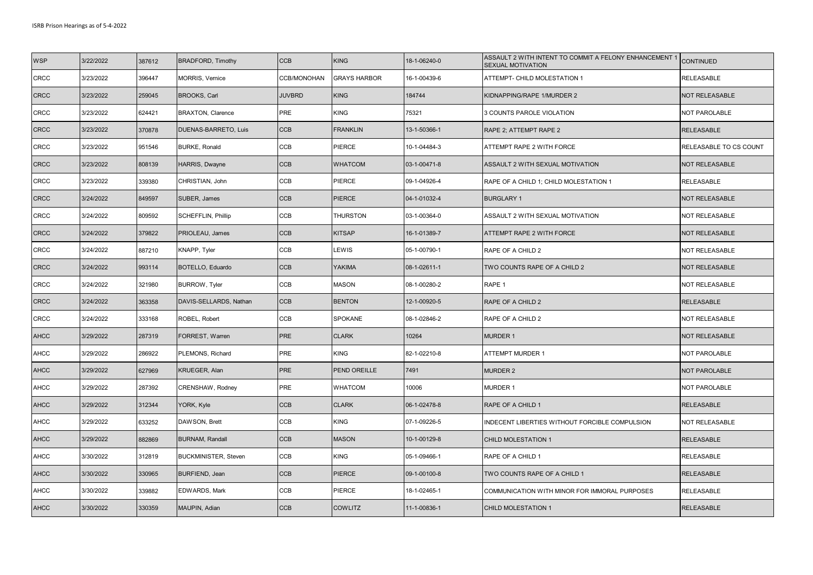| <b>WSP</b>  | 3/22/2022 | 387612 | <b>BRADFORD, Timothy</b>    | <b>CCB</b>    | <b>KING</b>         | 18-1-06240-0 | ASSAULT 2 WITH INTENT TO COMMIT A FELONY ENHANCEMENT 1<br>SEXUAL MOTIVATION | <b>CONTINUED</b>       |
|-------------|-----------|--------|-----------------------------|---------------|---------------------|--------------|-----------------------------------------------------------------------------|------------------------|
| <b>CRCC</b> | 3/23/2022 | 396447 | MORRIS, Vernice             | CCB/MONOHAN   | <b>GRAYS HARBOR</b> | 16-1-00439-6 | ATTEMPT- CHILD MOLESTATION 1                                                | RELEASABLE             |
| <b>CRCC</b> | 3/23/2022 | 259045 | <b>BROOKS, Carl</b>         | <b>JUVBRD</b> | <b>KING</b>         | 184744       | KIDNAPPING/RAPE 1/MURDER 2                                                  | <b>NOT RELEASABLE</b>  |
| <b>CRCC</b> | 3/23/2022 | 624421 | <b>BRAXTON, Clarence</b>    | PRE           | <b>KING</b>         | 75321        | 3 COUNTS PAROLE VIOLATION                                                   | NOT PAROLABLE          |
| <b>CRCC</b> | 3/23/2022 | 370878 | <b>DUENAS-BARRETO, Luis</b> | <b>CCB</b>    | <b>FRANKLIN</b>     | 13-1-50366-1 | RAPE 2; ATTEMPT RAPE 2                                                      | <b>RELEASABLE</b>      |
| CRCC        | 3/23/2022 | 951546 | <b>BURKE, Ronald</b>        | CCB           | PIERCE              | 10-1-04484-3 | ATTEMPT RAPE 2 WITH FORCE                                                   | RELEASABLE TO CS COUNT |
| <b>CRCC</b> | 3/23/2022 | 808139 | <b>HARRIS, Dwayne</b>       | <b>CCB</b>    | <b>WHATCOM</b>      | 03-1-00471-8 | ASSAULT 2 WITH SEXUAL MOTIVATION                                            | <b>NOT RELEASABLE</b>  |
| <b>CRCC</b> | 3/23/2022 | 339380 | CHRISTIAN, John             | CCB           | <b>PIERCE</b>       | 09-1-04926-4 | RAPE OF A CHILD 1; CHILD MOLESTATION 1                                      | RELEASABLE             |
| <b>CRCC</b> | 3/24/2022 | 849597 | SUBER, James                | <b>CCB</b>    | PIERCE              | 04-1-01032-4 | <b>BURGLARY 1</b>                                                           | NOT RELEASABLE         |
| <b>CRCC</b> | 3/24/2022 | 809592 | SCHEFFLIN, Phillip          | CCB           | <b>THURSTON</b>     | 03-1-00364-0 | ASSAULT 2 WITH SEXUAL MOTIVATION                                            | NOT RELEASABLE         |
| <b>CRCC</b> | 3/24/2022 | 379822 | PRIOLEAU, James             | <b>CCB</b>    | <b>KITSAP</b>       | 16-1-01389-7 | ATTEMPT RAPE 2 WITH FORCE                                                   | <b>NOT RELEASABLE</b>  |
| <b>CRCC</b> | 3/24/2022 | 887210 | KNAPP, Tyler                | CCB           | LEWIS               | 05-1-00790-1 | RAPE OF A CHILD 2                                                           | NOT RELEASABLE         |
| <b>CRCC</b> | 3/24/2022 | 993114 | BOTELLO, Eduardo            | <b>CCB</b>    | <b>YAKIMA</b>       | 08-1-02611-1 | TWO COUNTS RAPE OF A CHILD 2                                                | NOT RELEASABLE         |
| <b>CRCC</b> | 3/24/2022 | 321980 | <b>BURROW, Tyler</b>        | CCB           | MASON               | 08-1-00280-2 | RAPE 1                                                                      | NOT RELEASABLE         |
| <b>CRCC</b> | 3/24/2022 | 363358 | DAVIS-SELLARDS, Nathan      | <b>CCB</b>    | <b>BENTON</b>       | 12-1-00920-5 | RAPE OF A CHILD 2                                                           | <b>RELEASABLE</b>      |
| <b>CRCC</b> | 3/24/2022 | 333168 | ROBEL, Robert               | CCB           | <b>SPOKANE</b>      | 08-1-02846-2 | RAPE OF A CHILD 2                                                           | NOT RELEASABLE         |
| <b>AHCC</b> | 3/29/2022 | 287319 | FORREST, Warren             | PRE           | <b>CLARK</b>        | 10264        | <b>MURDER 1</b>                                                             | NOT RELEASABLE         |
| <b>AHCC</b> | 3/29/2022 | 286922 | PLEMONS, Richard            | PRE           | <b>KING</b>         | 82-1-02210-8 | ATTEMPT MURDER 1                                                            | NOT PAROLABLE          |
| <b>AHCC</b> | 3/29/2022 | 627969 | <b>KRUEGER, Alan</b>        | PRE           | PEND OREILLE        | 7491         | <b>MURDER 2</b>                                                             | NOT PAROLABLE          |
| <b>AHCC</b> | 3/29/2022 | 287392 | CRENSHAW, Rodney            | PRE           | <b>WHATCOM</b>      | 10006        | MURDER 1                                                                    | NOT PAROLABLE          |
| <b>AHCC</b> | 3/29/2022 | 312344 | YORK, Kyle                  | <b>CCB</b>    | <b>CLARK</b>        | 06-1-02478-8 | RAPE OF A CHILD 1                                                           | <b>RELEASABLE</b>      |
| <b>AHCC</b> | 3/29/2022 | 633252 | DAWSON, Brett               | CCB           | <b>KING</b>         | 07-1-09226-5 | INDECENT LIBERTIES WITHOUT FORCIBLE COMPULSION                              | NOT RELEASABLE         |
| <b>AHCC</b> | 3/29/2022 | 882869 | <b>BURNAM, Randall</b>      | <b>CCB</b>    | <b>MASON</b>        | 10-1-00129-8 | <b>CHILD MOLESTATION 1</b>                                                  | <b>RELEASABLE</b>      |
| <b>AHCC</b> | 3/30/2022 | 312819 | <b>BUCKMINISTER, Steven</b> | CCB           | <b>KING</b>         | 05-1-09466-1 | RAPE OF A CHILD 1                                                           | RELEASABLE             |
| <b>AHCC</b> | 3/30/2022 | 330965 | <b>BURFIEND, Jean</b>       | <b>CCB</b>    | <b>PIERCE</b>       | 09-1-00100-8 | TWO COUNTS RAPE OF A CHILD 1                                                | <b>RELEASABLE</b>      |
| <b>AHCC</b> | 3/30/2022 | 339882 | <b>EDWARDS, Mark</b>        | CCB           | PIERCE              | 18-1-02465-1 | COMMUNICATION WITH MINOR FOR IMMORAL PURPOSES                               | RELEASABLE             |
| <b>AHCC</b> | 3/30/2022 | 330359 | MAUPIN, Adian               | <b>CCB</b>    | <b>COWLITZ</b>      | 11-1-00836-1 | CHILD MOLESTATION 1                                                         | <b>RELEASABLE</b>      |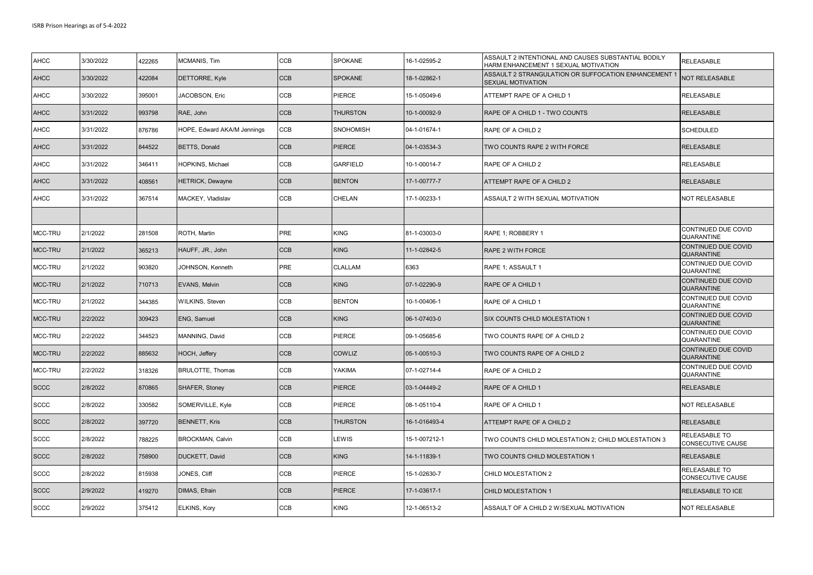| <b>AHCC</b> | 3/30/2022 | 422265 | MCMANIS, Tim                | <b>CCB</b> | <b>SPOKANE</b>   | 16-1-02595-2  | ASSAULT 2 INTENTIONAL AND CAUSES SUBSTANTIAL BODILY<br>HARM ENHANCEMENT 1 SEXUAL MOTIVATION | RELEASABLE                                |
|-------------|-----------|--------|-----------------------------|------------|------------------|---------------|---------------------------------------------------------------------------------------------|-------------------------------------------|
| <b>AHCC</b> | 3/30/2022 | 422084 | DETTORRE, Kyle              | <b>CCB</b> | <b>SPOKANE</b>   | 18-1-02862-1  | ASSAULT 2 STRANGULATION OR SUFFOCATION ENHANCEMENT 1<br>SEXUAL MOTIVATION                   | <b>NOT RELEASABLE</b>                     |
| <b>AHCC</b> | 3/30/2022 | 395001 | JACOBSON, Eric              | CCB        | PIERCE           | 15-1-05049-6  | ATTEMPT RAPE OF A CHILD 1                                                                   | RELEASABLE                                |
| <b>AHCC</b> | 3/31/2022 | 993798 | RAE, John                   | <b>CCB</b> | <b>THURSTON</b>  | 10-1-00092-9  | RAPE OF A CHILD 1 - TWO COUNTS                                                              | <b>RELEASABLE</b>                         |
| <b>AHCC</b> | 3/31/2022 | 876786 | HOPE, Edward AKA/M Jennings | <b>CCB</b> | <b>SNOHOMISH</b> | 04-1-01674-1  | RAPE OF A CHILD 2                                                                           | <b>SCHEDULED</b>                          |
| <b>AHCC</b> | 3/31/2022 | 844522 | BETTS, Donald               | <b>CCB</b> | <b>PIERCE</b>    | 04-1-03534-3  | TWO COUNTS RAPE 2 WITH FORCE                                                                | <b>RELEASABLE</b>                         |
| <b>AHCC</b> | 3/31/2022 | 346411 | <b>HOPKINS, Michael</b>     | CCB        | <b>GARFIELD</b>  | 10-1-00014-7  | RAPE OF A CHILD 2                                                                           | <b>RELEASABLE</b>                         |
| <b>AHCC</b> | 3/31/2022 | 408561 | <b>HETRICK, Dewayne</b>     | <b>CCB</b> | <b>BENTON</b>    | 17-1-00777-7  | ATTEMPT RAPE OF A CHILD 2                                                                   | <b>RELEASABLE</b>                         |
| <b>AHCC</b> | 3/31/2022 | 367514 | MACKEY, Vladislav           | <b>CCB</b> | CHELAN           | 17-1-00233-1  | ASSAULT 2 WITH SEXUAL MOTIVATION                                                            | <b>NOT RELEASABLE</b>                     |
|             |           |        |                             |            |                  |               |                                                                                             |                                           |
| MCC-TRU     | 2/1/2022  | 281508 | ROTH, Martin                | PRE        | KING             | 81-1-03003-0  | RAPE 1; ROBBERY 1                                                                           | CONTINUED DUE COVID<br>QUARANTINE         |
| MCC-TRU     | 2/1/2022  | 365213 | HAUFF, JR., John            | <b>CCB</b> | <b>KING</b>      | 11-1-02842-5  | RAPE 2 WITH FORCE                                                                           | CONTINUED DUE COVID<br><b>QUARANTINE</b>  |
| MCC-TRU     | 2/1/2022  | 903820 | JOHNSON, Kenneth            | PRE        | CLALLAM          | 6363          | RAPE 1; ASSAULT 1                                                                           | CONTINUED DUE COVID<br>QUARANTINE         |
| MCC-TRU     | 2/1/2022  | 710713 | EVANS, Melvin               | <b>CCB</b> | <b>KING</b>      | 07-1-02290-9  | RAPE OF A CHILD 1                                                                           | CONTINUED DUE COVID<br><b>QUARANTINE</b>  |
| MCC-TRU     | 2/1/2022  | 344385 | WILKINS, Steven             | CCB        | <b>BENTON</b>    | 10-1-00406-1  | RAPE OF A CHILD 1                                                                           | CONTINUED DUE COVID<br><b>QUARANTINE</b>  |
| MCC-TRU     | 2/2/2022  | 309423 | ENG, Samuel                 | <b>CCB</b> | <b>KING</b>      | 06-1-07403-0  | SIX COUNTS CHILD MOLESTATION 1                                                              | CONTINUED DUE COVID<br><b>QUARANTINE</b>  |
| MCC-TRU     | 2/2/2022  | 344523 | MANNING, David              | <b>CCB</b> | PIERCE           | 09-1-05685-6  | TWO COUNTS RAPE OF A CHILD 2                                                                | CONTINUED DUE COVID<br>QUARANTINE         |
| MCC-TRU     | 2/2/2022  | 885632 | HOCH, Jeffery               | CCB        | COWLIZ           | 05-1-00510-3  | TWO COUNTS RAPE OF A CHILD 2                                                                | CONTINUED DUE COVID<br>QUARANTINE         |
| MCC-TRU     | 2/2/2022  | 318326 | <b>BRULOTTE, Thomas</b>     | CCB        | YAKIMA           | 07-1-02714-4  | RAPE OF A CHILD 2                                                                           | CONTINUED DUE COVID<br>QUARANTINE         |
| <b>SCCC</b> | 2/8/2022  | 870865 | <b>SHAFER, Stoney</b>       | <b>CCB</b> | <b>PIERCE</b>    | 03-1-04449-2  | RAPE OF A CHILD 1                                                                           | <b>RELEASABLE</b>                         |
| <b>SCCC</b> | 2/8/2022  | 330582 | SOMERVILLE, Kyle            | CCB        | PIERCE           | 08-1-05110-4  | RAPE OF A CHILD 1                                                                           | NOT RELEASABLE                            |
| <b>SCCC</b> | 2/8/2022  | 397720 | <b>BENNETT, Kris</b>        | <b>CCB</b> | <b>THURSTON</b>  | 16-1-016493-4 | ATTEMPT RAPE OF A CHILD 2                                                                   | <b>RELEASABLE</b>                         |
| <b>SCCC</b> | 2/8/2022  | 788225 | BROCKMAN, Calvin            | CCB        | LEWIS            | 15-1-007212-1 | TWO COUNTS CHILD MOLESTATION 2; CHILD MOLESTATION 3                                         | <b>RELEASABLE TO</b><br>CONSECUTIVE CAUSE |
| <b>SCCC</b> | 2/8/2022  | 758900 | <b>DUCKETT, David</b>       | <b>CCB</b> | <b>KING</b>      | 14-1-11839-1  | TWO COUNTS CHILD MOLESTATION 1                                                              | <b>RELEASABLE</b>                         |
| <b>SCCC</b> | 2/8/2022  | 815938 | JONES, Cliff                | <b>CCB</b> | PIERCE           | 15-1-02630-7  | CHILD MOLESTATION 2                                                                         | RELEASABLE TO<br>CONSECUTIVE CAUSE        |
| <b>SCCC</b> | 2/9/2022  | 419270 | DIMAS, Efrain               | <b>CCB</b> | PIERCE           | 17-1-03617-1  | CHILD MOLESTATION 1                                                                         | <b>RELEASABLE TO ICE</b>                  |
| <b>SCCC</b> | 2/9/2022  | 375412 | ELKINS, Kory                | <b>CCB</b> | <b>KING</b>      | 12-1-06513-2  | ASSAULT OF A CHILD 2 W/SEXUAL MOTIVATION                                                    | NOT RELEASABLE                            |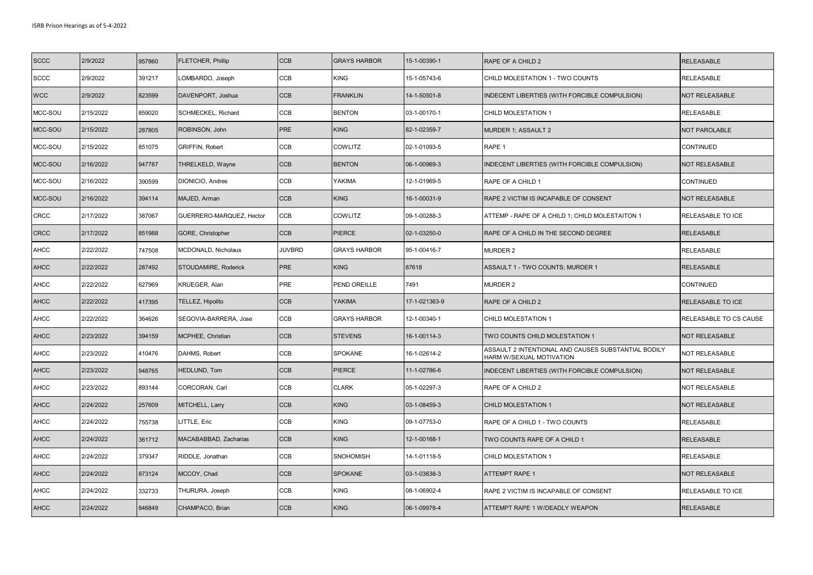| <b>SCCC</b> | 2/9/2022  | 957860 | <b>FLETCHER, Phillip</b>   | <b>CCB</b>    | <b>GRAYS HARBOR</b> | 15-1-00390-1  | RAPE OF A CHILD 2                                                               | <b>RELEASABLE</b>      |
|-------------|-----------|--------|----------------------------|---------------|---------------------|---------------|---------------------------------------------------------------------------------|------------------------|
| <b>SCCC</b> | 2/9/2022  | 391217 | LOMBARDO, Joseph           | CCB           | <b>KING</b>         | 15-1-05743-6  | CHILD MOLESTATION 1 - TWO COUNTS                                                | RELEASABLE             |
| <b>WCC</b>  | 2/9/2022  | 823599 | DAVENPORT, Joshua          | CCB           | <b>FRANKLIN</b>     | 14-1-50501-8  | INDECENT LIBERTIES (WITH FORCIBLE COMPULSION)                                   | NOT RELEASABLE         |
| MCC-SOU     | 2/15/2022 | 859020 | SCHMECKEL, Richard         | CCB           | <b>BENTON</b>       | 03-1-00170-1  | CHILD MOLESTATION 1                                                             | RELEASABLE             |
| MCC-SOU     | 2/15/2022 | 287805 | ROBINSON, John             | PRE           | <b>KING</b>         | 82-1-02359-7  | MURDER 1; ASSAULT 2                                                             | <b>NOT PAROLABLE</b>   |
| MCC-SOU     | 2/15/2022 | 851075 | GRIFFIN, Robert            | CCB           | <b>COWLITZ</b>      | 02-1-01093-5  | RAPE 1                                                                          | <b>CONTINUED</b>       |
| MCC-SOU     | 2/16/2022 | 947787 | THRELKELD, Wayne           | CCB           | <b>BENTON</b>       | 06-1-00969-3  | INDECENT LIBERTIES (WITH FORCIBLE COMPULSION)                                   | <b>NOT RELEASABLE</b>  |
| MCC-SOU     | 2/16/2022 | 390599 | DIONICIO, Andres           | CCB           | YAKIMA              | 12-1-01969-5  | RAPE OF A CHILD 1                                                               | CONTINUED              |
| MCC-SOU     | 2/16/2022 | 394114 | MAJED, Arman               | <b>CCB</b>    | <b>KING</b>         | 16-1-00031-9  | RAPE 2 VICTIM IS INCAPABLE OF CONSENT                                           | <b>NOT RELEASABLE</b>  |
| CRCC        | 2/17/2022 | 387067 | GUERRERO-MARQUEZ, Hector   | CCB           | <b>COWLITZ</b>      | 09-1-00288-3  | ATTEMP - RAPE OF A CHILD 1; CHILD MOLESTAITON 1                                 | RELEASABLE TO ICE      |
| <b>CRCC</b> | 2/17/2022 | 851988 | GORE, Christopher          | CCB           | <b>PIERCE</b>       | 02-1-03250-0  | RAPE OF A CHILD IN THE SECOND DEGREE                                            | <b>RELEASABLE</b>      |
| <b>AHCC</b> | 2/22/2022 | 747508 | <b>MCDONALD, Nicholaus</b> | <b>JUVBRD</b> | <b>GRAYS HARBOR</b> | 95-1-00416-7  | <b>MURDER 2</b>                                                                 | RELEASABLE             |
| <b>AHCC</b> | 2/22/2022 | 287492 | STOUDAMIRE, Roderick       | PRE           | <b>KING</b>         | 87618         | ASSAULT 1 - TWO COUNTS; MURDER 1                                                | RELEASABLE             |
| <b>AHCC</b> | 2/22/2022 | 627969 | KRUEGER, Alan              | PRE           | PEND OREILLE        | 7491          | <b>MURDER 2</b>                                                                 | <b>CONTINUED</b>       |
| <b>AHCC</b> | 2/22/2022 | 417395 | TELLEZ, Hipolito           | CCB           | <b>YAKIMA</b>       | 17-1-021363-9 | RAPE OF A CHILD 2                                                               | RELEASABLE TO ICE      |
| <b>AHCC</b> | 2/22/2022 | 364626 | SEGOVIA-BARRERA, Jose      | CCB           | <b>GRAYS HARBOR</b> | 12-1-00340-1  | CHILD MOLESTATION 1                                                             | RELEASABLE TO CS CAUSE |
| <b>AHCC</b> | 2/23/2022 | 394159 | MCPHEE, Christian          | <b>CCB</b>    | <b>STEVENS</b>      | 16-1-00114-3  | TWO COUNTS CHILD MOLESTATION 1                                                  | NOT RELEASABLE         |
| <b>AHCC</b> | 2/23/2022 | 410476 | DAHMS, Robert              | CCB           | <b>SPOKANE</b>      | 16-1-02614-2  | ASSAULT 2 INTENTIONAL AND CAUSES SUBSTANTIAL BODILY<br>HARM W/SEXUAL MOTIVATION | NOT RELEASABLE         |
| <b>AHCC</b> | 2/23/2022 | 948765 | HEDLUND, Tom               | CCB           | <b>PIERCE</b>       | 11-1-02786-6  | INDECENT LIBERTIES (WITH FORCIBLE COMPULSION)                                   | NOT RELEASABLE         |
| <b>AHCC</b> | 2/23/2022 | 893144 | CORCORAN, Carl             | CCB           | <b>CLARK</b>        | 05-1-02297-3  | RAPE OF A CHILD 2                                                               | NOT RELEASABLE         |
| <b>AHCC</b> | 2/24/2022 | 257609 | MITCHELL, Larry            | CCB           | <b>KING</b>         | 03-1-08459-3  | <b>CHILD MOLESTATION 1</b>                                                      | NOT RELEASABLE         |
| <b>AHCC</b> | 2/24/2022 | 755738 | LITTLE, Eric               | CCB           | <b>KING</b>         | 09-1-07753-0  | RAPE OF A CHILD 1 - TWO COUNTS                                                  | RELEASABLE             |
| <b>AHCC</b> | 2/24/2022 | 361712 | MACABABBAD, Zacharias      | CCB           | <b>KING</b>         | 12-1-00168-1  | TWO COUNTS RAPE OF A CHILD 1                                                    | RELEASABLE             |
| <b>AHCC</b> | 2/24/2022 | 379347 | RIDDLE, Jonathan           | CCB           | <b>SNOHOMISH</b>    | 14-1-01118-5  | CHILD MOLESTATION 1                                                             | RELEASABLE             |
| <b>AHCC</b> | 2/24/2022 | 873124 | MCCOY, Chad                | <b>CCB</b>    | <b>SPOKANE</b>      | 03-1-03638-3  | <b>ATTEMPT RAPE 1</b>                                                           | NOT RELEASABLE         |
| <b>AHCC</b> | 2/24/2022 | 332733 | THURURA, Joseph            | CCB           | <b>KING</b>         | 08-1-06902-4  | RAPE 2 VICTIM IS INCAPABLE OF CONSENT                                           | RELEASABLE TO ICE      |
| <b>AHCC</b> | 2/24/2022 | 846849 | CHAMPACO, Brian            | <b>CCB</b>    | <b>KING</b>         | 06-1-09978-4  | ATTEMPT RAPE 1 W/DEADLY WEAPON                                                  | <b>RELEASABLE</b>      |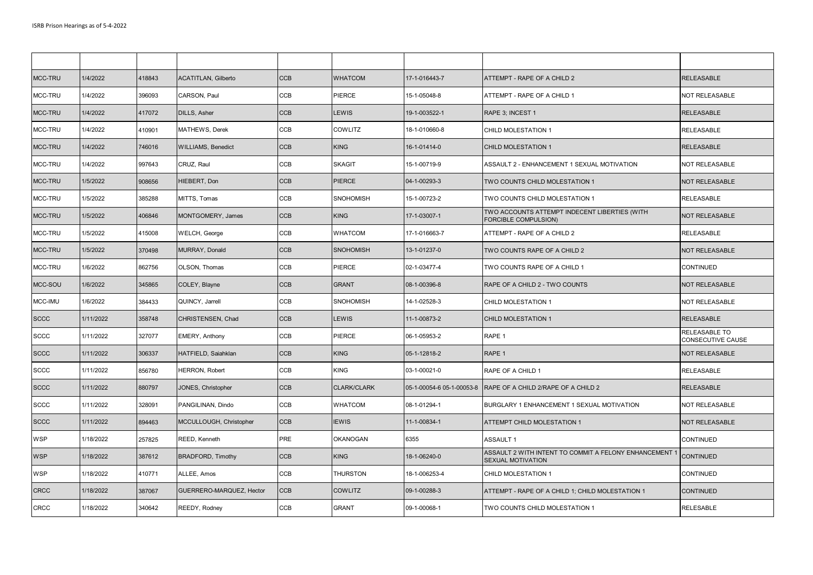| MCC-TRU     | 1/4/2022  | 418843 | <b>ACATITLAN, Gilberto</b> | <b>CCB</b> | <b>WHATCOM</b>   | 17-1-016443-7             | ATTEMPT - RAPE OF A CHILD 2                                                        | <b>RELEASABLE</b>                  |
|-------------|-----------|--------|----------------------------|------------|------------------|---------------------------|------------------------------------------------------------------------------------|------------------------------------|
| MCC-TRU     | 1/4/2022  | 396093 | CARSON, Paul               | CCB        | PIERCE           | 15-1-05048-8              | ATTEMPT - RAPE OF A CHILD 1                                                        | <b>NOT RELEASABLE</b>              |
| MCC-TRU     | 1/4/2022  | 417072 | DILLS, Asher               | <b>CCB</b> | <b>LEWIS</b>     | 19-1-003522-1             | RAPE 3: INCEST 1                                                                   | <b>RELEASABLE</b>                  |
| MCC-TRU     | 1/4/2022  | 410901 | MATHEWS, Derek             | CCB        | <b>COWLITZ</b>   | 18-1-010660-8             | CHILD MOLESTATION 1                                                                | RELEASABLE                         |
| MCC-TRU     | 1/4/2022  | 746016 | <b>WILLIAMS, Benedict</b>  | <b>CCB</b> | <b>KING</b>      | 16-1-01414-0              | <b>CHILD MOLESTATION 1</b>                                                         | <b>RELEASABLE</b>                  |
| MCC-TRU     | 1/4/2022  | 997643 | CRUZ, Raul                 | CCB        | <b>SKAGIT</b>    | 15-1-00719-9              | ASSAULT 2 - ENHANCEMENT 1 SEXUAL MOTIVATION                                        | NOT RELEASABLE                     |
| MCC-TRU     | 1/5/2022  | 908656 | HIEBERT, Don               | <b>CCB</b> | <b>PIERCE</b>    | 04-1-00293-3              | TWO COUNTS CHILD MOLESTATION 1                                                     | <b>NOT RELEASABLE</b>              |
| MCC-TRU     | 1/5/2022  | 385288 | MITTS, Tomas               | <b>CCB</b> | SNOHOMISH        | 15-1-00723-2              | TWO COUNTS CHILD MOLESTATION 1                                                     | RELEASABLE                         |
| MCC-TRU     | 1/5/2022  | 406846 | MONTGOMERY, James          | <b>CCB</b> | <b>KING</b>      | 17-1-03007-1              | TWO ACCOUNTS ATTEMPT INDECENT LIBERTIES (WITH<br>FORCIBLE COMPULSION)              | <b>NOT RELEASABLE</b>              |
| MCC-TRU     | 1/5/2022  | 415008 | WELCH, George              | CCB        | WHATCOM          | 17-1-016663-7             | ATTEMPT - RAPE OF A CHILD 2                                                        | RELEASABLE                         |
| MCC-TRU     | 1/5/2022  | 370498 | MURRAY, Donald             | <b>CCB</b> | <b>SNOHOMISH</b> | 13-1-01237-0              | TWO COUNTS RAPE OF A CHILD 2                                                       | <b>NOT RELEASABLE</b>              |
| MCC-TRU     | 1/6/2022  | 862756 | OLSON, Thomas              | CCB        | PIERCE           | 02-1-03477-4              | TWO COUNTS RAPE OF A CHILD 1                                                       | <b>CONTINUED</b>                   |
| MCC-SOU     | 1/6/2022  | 345865 | COLEY, Blayne              | <b>CCB</b> | <b>GRANT</b>     | 08-1-00396-8              | RAPE OF A CHILD 2 - TWO COUNTS                                                     | <b>NOT RELEASABLE</b>              |
| MCC-IMU     | 1/6/2022  | 384433 | QUINCY, Jarrell            | CCB        | SNOHOMISH        | 14-1-02528-3              | CHILD MOLESTATION 1                                                                | NOT RELEASABLE                     |
| <b>SCCC</b> | 1/11/2022 | 358748 | CHRISTENSEN, Chad          | <b>CCB</b> | <b>LEWIS</b>     | 11-1-00873-2              | <b>CHILD MOLESTATION 1</b>                                                         | <b>RELEASABLE</b>                  |
| <b>SCCC</b> | 1/11/2022 | 327077 | <b>EMERY, Anthony</b>      | <b>CCB</b> | PIERCE           | 06-1-05953-2              | RAPE 1                                                                             | RELEASABLE TO<br>CONSECUTIVE CAUSE |
| <b>SCCC</b> | 1/11/2022 | 306337 | HATFIELD, Saiahklan        | <b>CCB</b> | <b>KING</b>      | 05-1-12818-2              | RAPE 1                                                                             | <b>NOT RELEASABLE</b>              |
| <b>SCCC</b> | 1/11/2022 | 856780 | <b>HERRON, Robert</b>      | CCB        | KING             | 03-1-00021-0              | RAPE OF A CHILD 1                                                                  | RELEASABLE                         |
| <b>SCCC</b> | 1/11/2022 | 880797 | JONES, Christopher         | <b>CCB</b> | CLARK/CLARK      | 05-1-00054-6 05-1-00053-8 | RAPE OF A CHILD 2/RAPE OF A CHILD 2                                                | <b>RELEASABLE</b>                  |
| <b>SCCC</b> | 1/11/2022 | 328091 | PANGILINAN, Dindo          | <b>CCB</b> | WHATCOM          | 08-1-01294-1              | BURGLARY 1 ENHANCEMENT 1 SEXUAL MOTIVATION                                         | NOT RELEASABLE                     |
| <b>SCCC</b> | 1/11/2022 | 894463 | MCCULLOUGH, Christopher    | <b>CCB</b> | <b>IEWIS</b>     | 11-1-00834-1              | ATTEMPT CHILD MOLESTATION 1                                                        | <b>NOT RELEASABLE</b>              |
| <b>WSP</b>  | 1/18/2022 | 257825 | REED, Kenneth              | PRE        | OKANOGAN         | 6355                      | <b>ASSAULT 1</b>                                                                   | <b>CONTINUED</b>                   |
| <b>WSP</b>  | 1/18/2022 | 387612 | <b>BRADFORD, Timothy</b>   | <b>CCB</b> | <b>KING</b>      | 18-1-06240-0              | ASSAULT 2 WITH INTENT TO COMMIT A FELONY ENHANCEMENT *<br><b>SEXUAL MOTIVATION</b> | <b>CONTINUED</b>                   |
| <b>WSP</b>  | 1/18/2022 | 410771 | ALLEE, Amos                | <b>CCB</b> | <b>THURSTON</b>  | 18-1-006253-4             | CHILD MOLESTATION 1                                                                | <b>CONTINUED</b>                   |
| <b>CRCC</b> | 1/18/2022 | 387067 | GUERRERO-MARQUEZ, Hector   | <b>CCB</b> | <b>COWLITZ</b>   | 09-1-00288-3              | ATTEMPT - RAPE OF A CHILD 1; CHILD MOLESTATION 1                                   | <b>CONTINUED</b>                   |
| <b>CRCC</b> | 1/18/2022 | 340642 | REEDY, Rodney              | <b>CCB</b> | <b>GRANT</b>     | 09-1-00068-1              | TWO COUNTS CHILD MOLESTATION 1                                                     | <b>RELESABLE</b>                   |